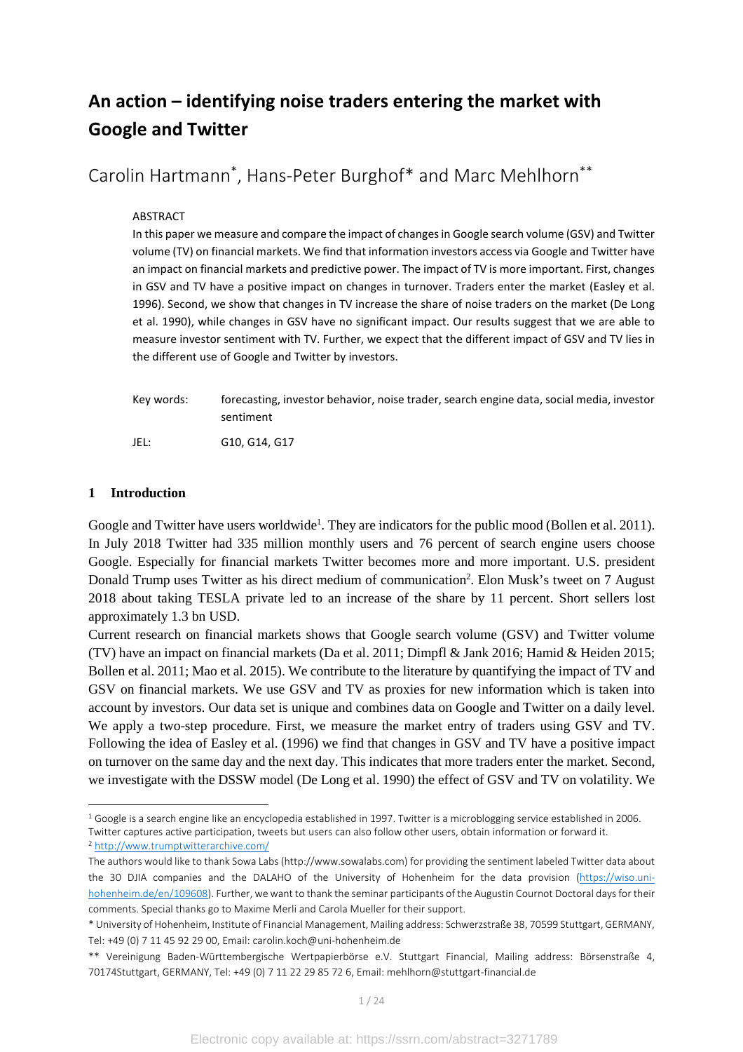# **An action – identifying noise traders entering the market with Google and Twitter**

Carolin Hartmann\* , Hans-Peter Burghof\* and Marc Mehlhorn\*\*

#### ABSTRACT

In this paper we measure and compare the impact of changes in Google search volume (GSV) and Twitter volume (TV) on financial markets. We find that information investors access via Google and Twitter have an impact on financial markets and predictive power. The impact of TV is more important. First, changes in GSV and TV have a positive impact on changes in turnover. Traders enter the market (Easley et al. 1996). Second, we show that changes in TV increase the share of noise traders on the market (De Long et al. 1990), while changes in GSV have no significant impact. Our results suggest that we are able to measure investor sentiment with TV. Further, we expect that the different impact of GSV and TV lies in the different use of Google and Twitter by investors.

| Kev words: | forecasting, investor behavior, noise trader, search engine data, social media, investor<br>sentiment |
|------------|-------------------------------------------------------------------------------------------------------|
| JEL:       | G10. G14. G17                                                                                         |

# **1 Introduction**

 $\overline{\phantom{a}}$ 

Google and Twitter have users worldwide<sup>1</sup>. They are indicators for the public mood (Bollen et al. 2011). In July 2018 Twitter had 335 million monthly users and 76 percent of search engine users choose Google. Especially for financial markets Twitter becomes more and more important. U.S. president Donald Trump uses Twitter as his direct medium of communication<sup>2</sup>. Elon Musk's tweet on 7 August 2018 about taking TESLA private led to an increase of the share by 11 percent. Short sellers lost approximately 1.3 bn USD.

Current research on financial markets shows that Google search volume (GSV) and Twitter volume (TV) have an impact on financial markets (Da et al. 2011; Dimpfl & Jank 2016; Hamid & Heiden 2015; Bollen et al. 2011; Mao et al. 2015). We contribute to the literature by quantifying the impact of TV and GSV on financial markets. We use GSV and TV as proxies for new information which is taken into account by investors. Our data set is unique and combines data on Google and Twitter on a daily level. We apply a two-step procedure. First, we measure the market entry of traders using GSV and TV. Following the idea of Easley et al. (1996) we find that changes in GSV and TV have a positive impact on turnover on the same day and the next day. This indicates that more traders enter the market. Second, we investigate with the DSSW model (De Long et al. 1990) the effect of GSV and TV on volatility. We

<sup>&</sup>lt;sup>1</sup> Google is a search engine like an encyclopedia established in 1997. Twitter is a microblogging service established in 2006. Twitter captures active participation, tweets but users can also follow other users, obtain information or forward it. <sup>2</sup> http://www.trumptwitterarchive.com/

The authors would like to thank Sowa Labs (http://www.sowalabs.com) for providing the sentiment labeled Twitter data about the 30 DJIA companies and the DALAHO of the University of Hohenheim for the data provision (https://wiso.unihohenheim.de/en/109608). Further, we want to thank the seminar participants of the Augustin Cournot Doctoral days for their comments. Special thanks go to Maxime Merli and Carola Mueller for their support.

<sup>\*</sup> University of Hohenheim, Institute of Financial Management, Mailing address: Schwerzstraße 38, 70599 Stuttgart, GERMANY, Tel: +49 (0) 7 11 45 92 29 00, Email: carolin.koch@uni-hohenheim.de

<sup>\*\*</sup> Vereinigung Baden-Württembergische Wertpapierbörse e.V. Stuttgart Financial, Mailing address: Börsenstraße 4, 70174Stuttgart, GERMANY, Tel: +49 (0) 7 11 22 29 85 72 6, Email: mehlhorn@stuttgart-financial.de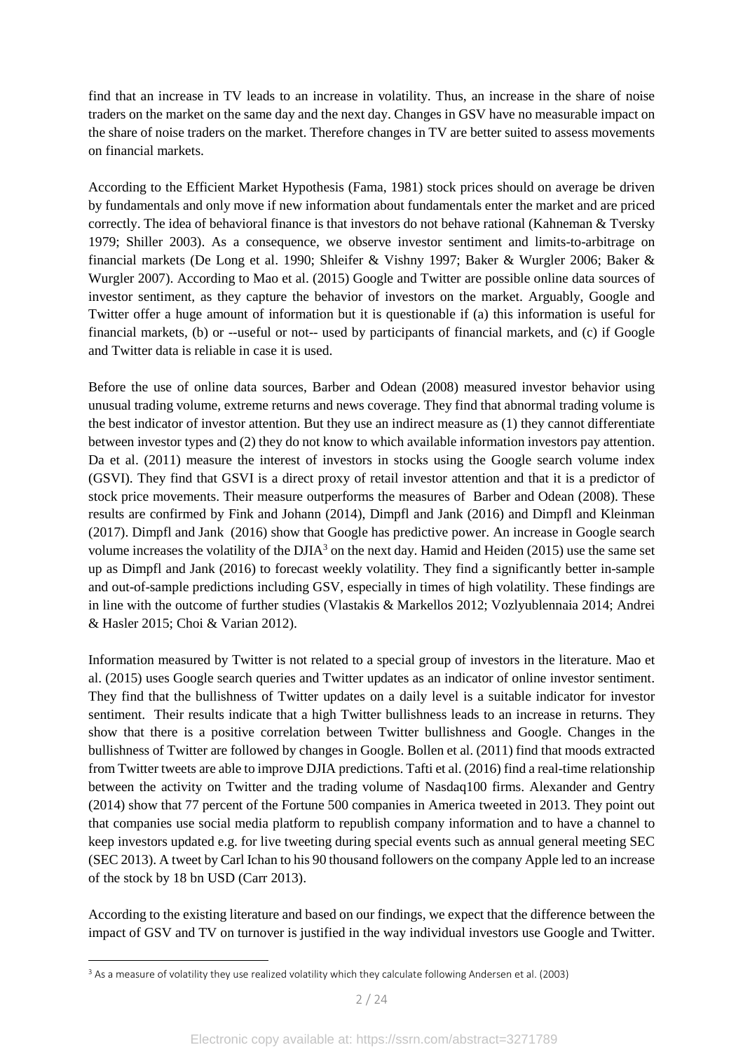find that an increase in TV leads to an increase in volatility. Thus, an increase in the share of noise traders on the market on the same day and the next day. Changes in GSV have no measurable impact on the share of noise traders on the market. Therefore changes in TV are better suited to assess movements on financial markets.

According to the Efficient Market Hypothesis (Fama, 1981) stock prices should on average be driven by fundamentals and only move if new information about fundamentals enter the market and are priced correctly. The idea of behavioral finance is that investors do not behave rational (Kahneman & Tversky 1979; Shiller 2003). As a consequence, we observe investor sentiment and limits-to-arbitrage on financial markets (De Long et al. 1990; Shleifer & Vishny 1997; Baker & Wurgler 2006; Baker & Wurgler 2007). According to Mao et al. (2015) Google and Twitter are possible online data sources of investor sentiment, as they capture the behavior of investors on the market. Arguably, Google and Twitter offer a huge amount of information but it is questionable if (a) this information is useful for financial markets, (b) or --useful or not-- used by participants of financial markets, and (c) if Google and Twitter data is reliable in case it is used.

Before the use of online data sources, Barber and Odean (2008) measured investor behavior using unusual trading volume, extreme returns and news coverage. They find that abnormal trading volume is the best indicator of investor attention. But they use an indirect measure as (1) they cannot differentiate between investor types and (2) they do not know to which available information investors pay attention. Da et al. (2011) measure the interest of investors in stocks using the Google search volume index (GSVI). They find that GSVI is a direct proxy of retail investor attention and that it is a predictor of stock price movements. Their measure outperforms the measures of Barber and Odean (2008). These results are confirmed by Fink and Johann (2014), Dimpfl and Jank (2016) and Dimpfl and Kleinman (2017). Dimpfl and Jank (2016) show that Google has predictive power. An increase in Google search volume increases the volatility of the DJIA<sup>3</sup> on the next day. Hamid and Heiden (2015) use the same set up as Dimpfl and Jank (2016) to forecast weekly volatility. They find a significantly better in-sample and out-of-sample predictions including GSV, especially in times of high volatility. These findings are in line with the outcome of further studies (Vlastakis & Markellos 2012; Vozlyublennaia 2014; Andrei & Hasler 2015; Choi & Varian 2012).

Information measured by Twitter is not related to a special group of investors in the literature. Mao et al. (2015) uses Google search queries and Twitter updates as an indicator of online investor sentiment. They find that the bullishness of Twitter updates on a daily level is a suitable indicator for investor sentiment. Their results indicate that a high Twitter bullishness leads to an increase in returns. They show that there is a positive correlation between Twitter bullishness and Google. Changes in the bullishness of Twitter are followed by changes in Google. Bollen et al. (2011) find that moods extracted from Twitter tweets are able to improve DJIA predictions. Tafti et al. (2016) find a real-time relationship between the activity on Twitter and the trading volume of Nasdaq100 firms. Alexander and Gentry (2014) show that 77 percent of the Fortune 500 companies in America tweeted in 2013. They point out that companies use social media platform to republish company information and to have a channel to keep investors updated e.g. for live tweeting during special events such as annual general meeting SEC (SEC 2013). A tweet by Carl Ichan to his 90 thousand followers on the company Apple led to an increase of the stock by 18 bn USD (Carr 2013).

According to the existing literature and based on our findings, we expect that the difference between the impact of GSV and TV on turnover is justified in the way individual investors use Google and Twitter.

<sup>&</sup>lt;sup>3</sup> As a measure of volatility they use realized volatility which they calculate following Andersen et al. (2003)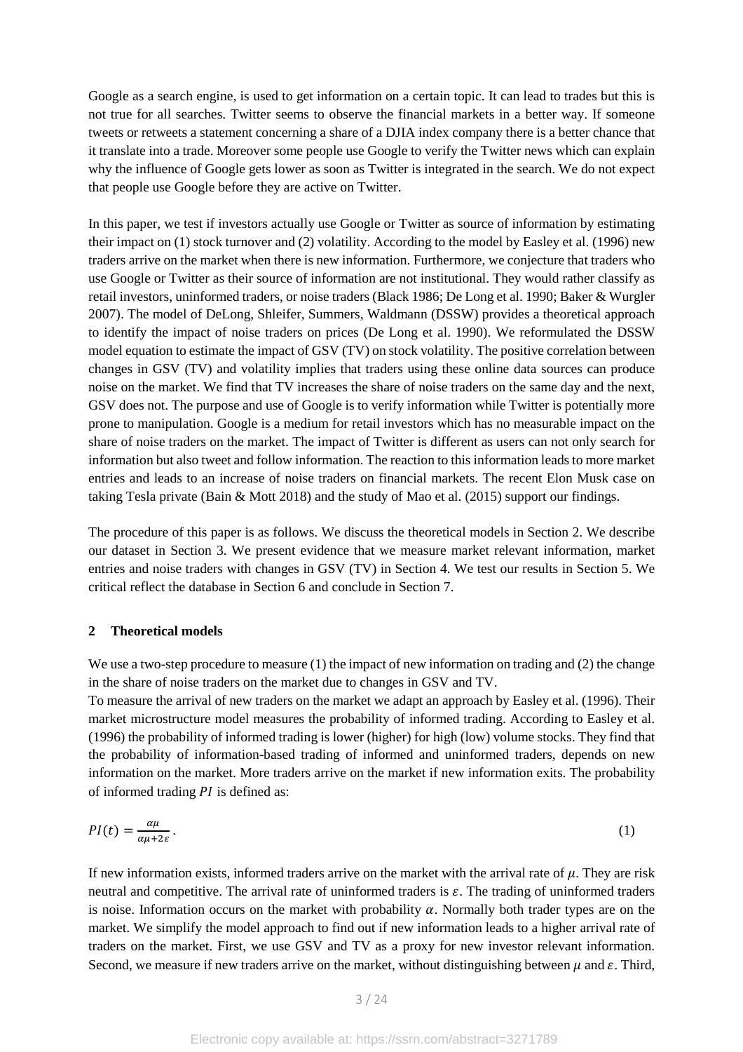Google as a search engine, is used to get information on a certain topic. It can lead to trades but this is not true for all searches. Twitter seems to observe the financial markets in a better way. If someone tweets or retweets a statement concerning a share of a DJIA index company there is a better chance that it translate into a trade. Moreover some people use Google to verify the Twitter news which can explain why the influence of Google gets lower as soon as Twitter is integrated in the search. We do not expect that people use Google before they are active on Twitter.

In this paper, we test if investors actually use Google or Twitter as source of information by estimating their impact on (1) stock turnover and (2) volatility. According to the model by Easley et al. (1996) new traders arrive on the market when there is new information. Furthermore, we conjecture that traders who use Google or Twitter as their source of information are not institutional. They would rather classify as retail investors, uninformed traders, or noise traders (Black 1986; De Long et al. 1990; Baker & Wurgler 2007). The model of DeLong, Shleifer, Summers, Waldmann (DSSW) provides a theoretical approach to identify the impact of noise traders on prices (De Long et al. 1990). We reformulated the DSSW model equation to estimate the impact of GSV (TV) on stock volatility. The positive correlation between changes in GSV (TV) and volatility implies that traders using these online data sources can produce noise on the market. We find that TV increases the share of noise traders on the same day and the next, GSV does not. The purpose and use of Google is to verify information while Twitter is potentially more prone to manipulation. Google is a medium for retail investors which has no measurable impact on the share of noise traders on the market. The impact of Twitter is different as users can not only search for information but also tweet and follow information. The reaction to this information leads to more market entries and leads to an increase of noise traders on financial markets. The recent Elon Musk case on taking Tesla private (Bain & Mott 2018) and the study of Mao et al. (2015) support our findings.

The procedure of this paper is as follows. We discuss the theoretical models in Section 2. We describe our dataset in Section 3. We present evidence that we measure market relevant information, market entries and noise traders with changes in GSV (TV) in Section 4. We test our results in Section 5. We critical reflect the database in Section 6 and conclude in Section 7.

#### **2 Theoretical models**

We use a two-step procedure to measure (1) the impact of new information on trading and (2) the change in the share of noise traders on the market due to changes in GSV and TV.

To measure the arrival of new traders on the market we adapt an approach by Easley et al. (1996). Their market microstructure model measures the probability of informed trading. According to Easley et al. (1996) the probability of informed trading is lower (higher) for high (low) volume stocks. They find that the probability of information-based trading of informed and uninformed traders, depends on new information on the market. More traders arrive on the market if new information exits. The probability of informed trading  $PI$  is defined as:

$$
PI(t) = \frac{\alpha \mu}{\alpha \mu + 2\varepsilon} \,. \tag{1}
$$

If new information exists, informed traders arrive on the market with the arrival rate of  $\mu$ . They are risk neutral and competitive. The arrival rate of uninformed traders is  $\varepsilon$ . The trading of uninformed traders is noise. Information occurs on the market with probability  $\alpha$ . Normally both trader types are on the market. We simplify the model approach to find out if new information leads to a higher arrival rate of traders on the market. First, we use GSV and TV as a proxy for new investor relevant information. Second, we measure if new traders arrive on the market, without distinguishing between  $\mu$  and  $\varepsilon$ . Third,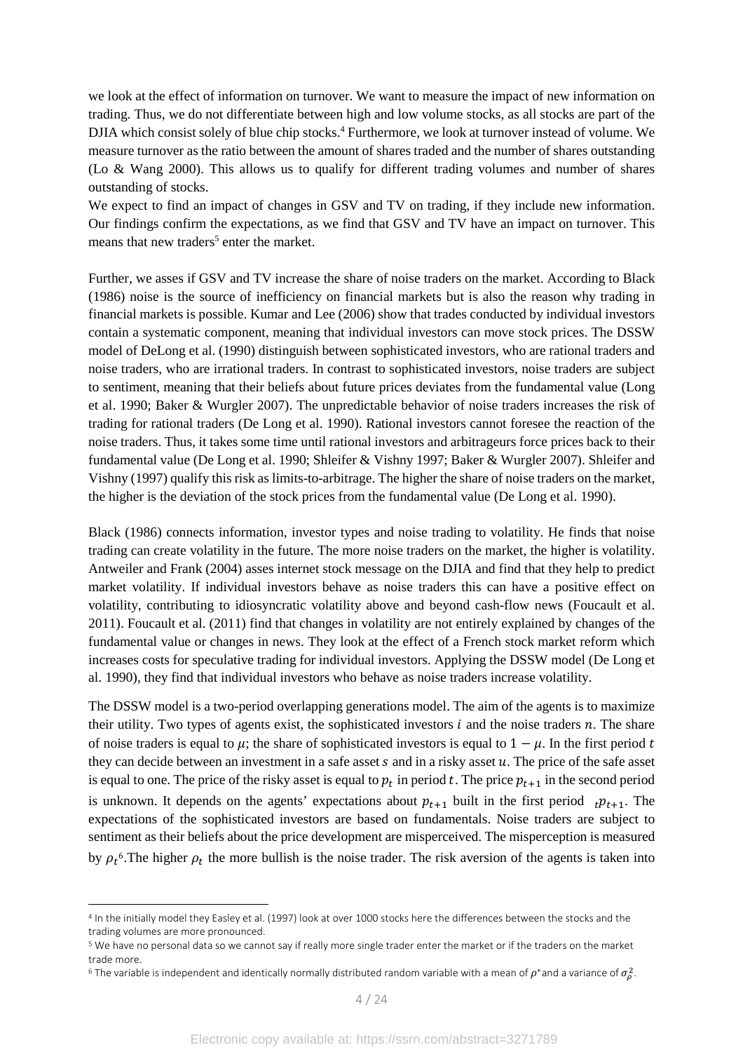we look at the effect of information on turnover. We want to measure the impact of new information on trading. Thus, we do not differentiate between high and low volume stocks, as all stocks are part of the DJIA which consist solely of blue chip stocks.<sup>4</sup> Furthermore, we look at turnover instead of volume. We measure turnover as the ratio between the amount of shares traded and the number of shares outstanding (Lo & Wang 2000). This allows us to qualify for different trading volumes and number of shares outstanding of stocks.

We expect to find an impact of changes in GSV and TV on trading, if they include new information. Our findings confirm the expectations, as we find that GSV and TV have an impact on turnover. This means that new traders<sup>5</sup> enter the market.

Further, we asses if GSV and TV increase the share of noise traders on the market. According to Black (1986) noise is the source of inefficiency on financial markets but is also the reason why trading in financial markets is possible. Kumar and Lee (2006) show that trades conducted by individual investors contain a systematic component, meaning that individual investors can move stock prices. The DSSW model of DeLong et al. (1990) distinguish between sophisticated investors, who are rational traders and noise traders, who are irrational traders. In contrast to sophisticated investors, noise traders are subject to sentiment, meaning that their beliefs about future prices deviates from the fundamental value (Long et al. 1990; Baker & Wurgler 2007). The unpredictable behavior of noise traders increases the risk of trading for rational traders (De Long et al. 1990). Rational investors cannot foresee the reaction of the noise traders. Thus, it takes some time until rational investors and arbitrageurs force prices back to their fundamental value (De Long et al. 1990; Shleifer & Vishny 1997; Baker & Wurgler 2007). Shleifer and Vishny (1997) qualify this risk as limits-to-arbitrage. The higher the share of noise traders on the market, the higher is the deviation of the stock prices from the fundamental value (De Long et al. 1990).

Black (1986) connects information, investor types and noise trading to volatility. He finds that noise trading can create volatility in the future. The more noise traders on the market, the higher is volatility. Antweiler and Frank (2004) asses internet stock message on the DJIA and find that they help to predict market volatility. If individual investors behave as noise traders this can have a positive effect on volatility, contributing to idiosyncratic volatility above and beyond cash-flow news (Foucault et al. 2011). Foucault et al. (2011) find that changes in volatility are not entirely explained by changes of the fundamental value or changes in news. They look at the effect of a French stock market reform which increases costs for speculative trading for individual investors. Applying the DSSW model (De Long et al. 1990), they find that individual investors who behave as noise traders increase volatility.

The DSSW model is a two-period overlapping generations model. The aim of the agents is to maximize their utility. Two types of agents exist, the sophisticated investors  $i$  and the noise traders  $n$ . The share of noise traders is equal to  $\mu$ ; the share of sophisticated investors is equal to  $1 - \mu$ . In the first period t they can decide between an investment in a safe asset  $s$  and in a risky asset  $u$ . The price of the safe asset is equal to one. The price of the risky asset is equal to  $p_t$  in period t. The price  $p_{t+1}$  in the second period is unknown. It depends on the agents' expectations about  $p_{t+1}$  built in the first period  $p_{t+1}$ . The expectations of the sophisticated investors are based on fundamentals. Noise traders are subject to sentiment as their beliefs about the price development are misperceived. The misperception is measured by  $\rho_t$ <sup>6</sup>. The higher  $\rho_t$  the more bullish is the noise trader. The risk aversion of the agents is taken into

 $\overline{\phantom{a}}$ 

<sup>4</sup> In the initially model they Easley et al. (1997) look at over 1000 stocks here the differences between the stocks and the trading volumes are more pronounced.

<sup>&</sup>lt;sup>5</sup> We have no personal data so we cannot say if really more single trader enter the market or if the traders on the market trade more.

<sup>&</sup>lt;sup>6</sup> The variable is independent and identically normally distributed random variable with a mean of  $\rho^*$ and a variance of  $\sigma_\rho^2$ .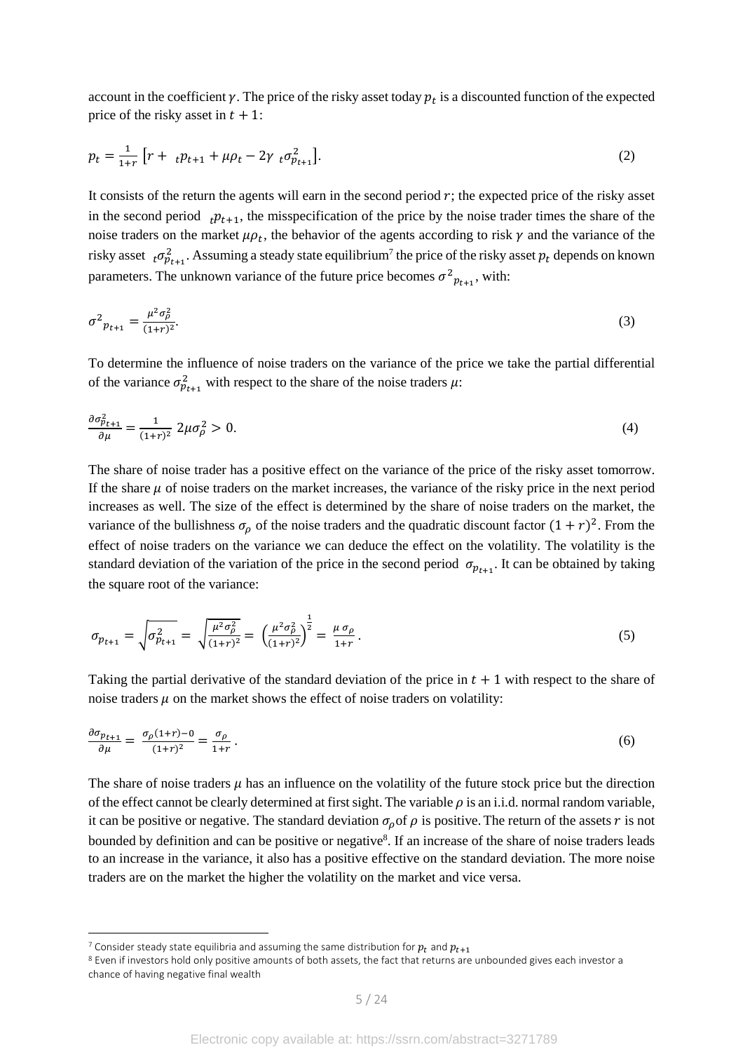account in the coefficient  $\gamma$ . The price of the risky asset today  $p_t$  is a discounted function of the expected price of the risky asset in  $t + 1$ :

$$
p_t = \frac{1}{1+r} \left[ r + \, t p_{t+1} + \mu p_t - 2 \gamma \, t \sigma_{p_{t+1}}^2 \right]. \tag{2}
$$

It consists of the return the agents will earn in the second period  $r$ ; the expected price of the risky asset in the second period  $_{t}p_{t+1}$ , the misspecification of the price by the noise trader times the share of the noise traders on the market  $\mu \rho_t$ , the behavior of the agents according to risk  $\gamma$  and the variance of the risky asset  $_t \sigma_{p_{t+1}}^2$ . Assuming a steady state equilibrium<sup>7</sup> the price of the risky asset  $p_t$  depends on known parameters. The unknown variance of the future price becomes  $\sigma_{p_{t+1}}^2$ , with:

$$
\sigma^2_{pt+1} = \frac{\mu^2 \sigma_{\rho}^2}{(1+r)^2}.
$$
\n(3)

To determine the influence of noise traders on the variance of the price we take the partial differential of the variance  $\sigma_{p_{t+1}}^2$  with respect to the share of the noise traders  $\mu$ :

$$
\frac{\partial \sigma_{p_{t+1}}^2}{\partial \mu} = \frac{1}{(1+r)^2} 2\mu \sigma_{\rho}^2 > 0. \tag{4}
$$

The share of noise trader has a positive effect on the variance of the price of the risky asset tomorrow. If the share  $\mu$  of noise traders on the market increases, the variance of the risky price in the next period increases as well. The size of the effect is determined by the share of noise traders on the market, the variance of the bullishness  $\sigma_{\rho}$  of the noise traders and the quadratic discount factor  $(1 + r)^2$ . From the effect of noise traders on the variance we can deduce the effect on the volatility. The volatility is the standard deviation of the variation of the price in the second period  $\sigma_{p_{t+1}}$ . It can be obtained by taking the square root of the variance:

$$
\sigma_{p_{t+1}} = \sqrt{\sigma_{p_{t+1}}^2} = \sqrt{\frac{\mu^2 \sigma_p^2}{(1+r)^2}} = \left(\frac{\mu^2 \sigma_p^2}{(1+r)^2}\right)^{\frac{1}{2}} = \frac{\mu \sigma_p}{1+r}.
$$
\n(5)

Taking the partial derivative of the standard deviation of the price in  $t + 1$  with respect to the share of noise traders  $\mu$  on the market shows the effect of noise traders on volatility:

$$
\frac{\partial \sigma_{p_{t+1}}}{\partial \mu} = \frac{\sigma_p (1+r) - 0}{(1+r)^2} = \frac{\sigma_p}{1+r} \,. \tag{6}
$$

The share of noise traders  $\mu$  has an influence on the volatility of the future stock price but the direction of the effect cannot be clearly determined at first sight. The variable  $\rho$  is an i.i.d. normal random variable, it can be positive or negative. The standard deviation  $\sigma_{\rho}$  of  $\rho$  is positive. The return of the assets r is not bounded by definition and can be positive or negative<sup>8</sup>. If an increase of the share of noise traders leads to an increase in the variance, it also has a positive effective on the standard deviation. The more noise traders are on the market the higher the volatility on the market and vice versa.

 $\overline{\phantom{a}}$ 

<sup>&</sup>lt;sup>7</sup> Consider steady state equilibria and assuming the same distribution for  $p_t$  and  $p_{t+1}$ 

<sup>&</sup>lt;sup>8</sup> Even if investors hold only positive amounts of both assets, the fact that returns are unbounded gives each investor a chance of having negative final wealth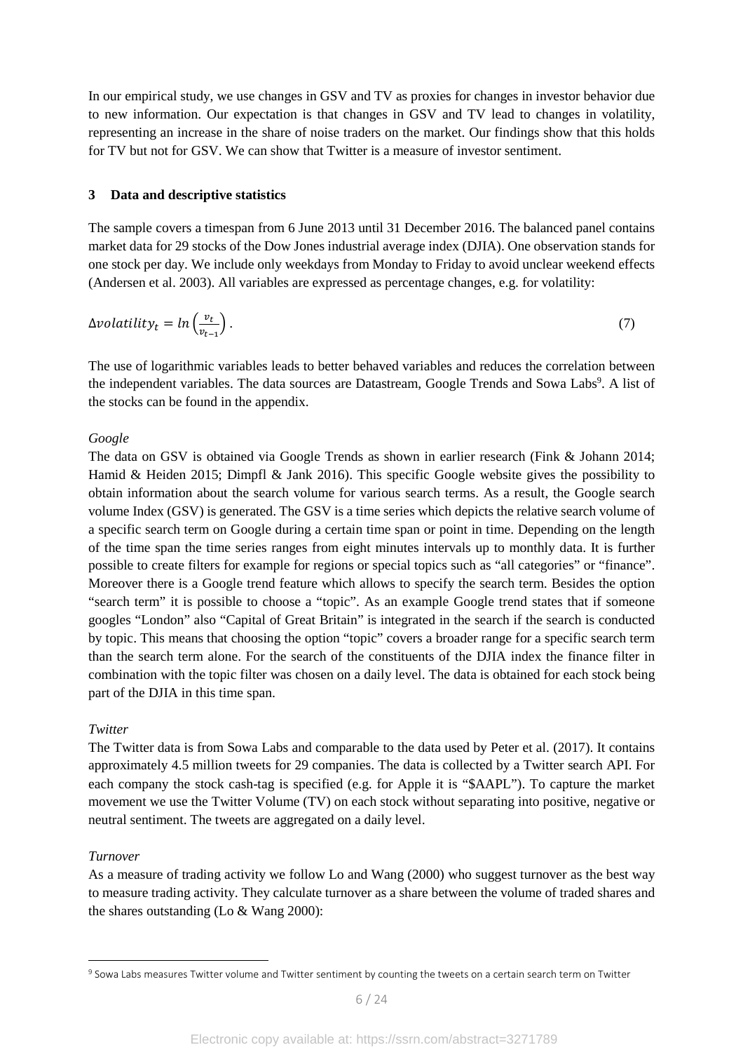In our empirical study, we use changes in GSV and TV as proxies for changes in investor behavior due to new information. Our expectation is that changes in GSV and TV lead to changes in volatility, representing an increase in the share of noise traders on the market. Our findings show that this holds for TV but not for GSV. We can show that Twitter is a measure of investor sentiment.

#### **3 Data and descriptive statistics**

The sample covers a timespan from 6 June 2013 until 31 December 2016. The balanced panel contains market data for 29 stocks of the Dow Jones industrial average index (DJIA). One observation stands for one stock per day. We include only weekdays from Monday to Friday to avoid unclear weekend effects (Andersen et al. 2003). All variables are expressed as percentage changes, e.g. for volatility:

$$
\Delta \text{volatility}_t = \ln \left( \frac{v_t}{v_{t-1}} \right). \tag{7}
$$

The use of logarithmic variables leads to better behaved variables and reduces the correlation between the independent variables. The data sources are Datastream, Google Trends and Sowa Labs<sup>9</sup>. A list of the stocks can be found in the appendix.

#### *Google*

The data on GSV is obtained via Google Trends as shown in earlier research (Fink & Johann 2014; Hamid & Heiden 2015; Dimpfl & Jank 2016). This specific Google website gives the possibility to obtain information about the search volume for various search terms. As a result, the Google search volume Index (GSV) is generated. The GSV is a time series which depicts the relative search volume of a specific search term on Google during a certain time span or point in time. Depending on the length of the time span the time series ranges from eight minutes intervals up to monthly data. It is further possible to create filters for example for regions or special topics such as "all categories" or "finance". Moreover there is a Google trend feature which allows to specify the search term. Besides the option "search term" it is possible to choose a "topic". As an example Google trend states that if someone googles "London" also "Capital of Great Britain" is integrated in the search if the search is conducted by topic. This means that choosing the option "topic" covers a broader range for a specific search term than the search term alone. For the search of the constituents of the DJIA index the finance filter in combination with the topic filter was chosen on a daily level. The data is obtained for each stock being part of the DJIA in this time span.

#### *Twitter*

The Twitter data is from Sowa Labs and comparable to the data used by Peter et al. (2017). It contains approximately 4.5 million tweets for 29 companies. The data is collected by a Twitter search API. For each company the stock cash-tag is specified (e.g. for Apple it is "\$AAPL"). To capture the market movement we use the Twitter Volume (TV) on each stock without separating into positive, negative or neutral sentiment. The tweets are aggregated on a daily level.

# *Turnover*

As a measure of trading activity we follow Lo and Wang (2000) who suggest turnover as the best way to measure trading activity. They calculate turnover as a share between the volume of traded shares and the shares outstanding (Lo & Wang 2000):

<sup>&</sup>lt;sup>9</sup> Sowa Labs measures Twitter volume and Twitter sentiment by counting the tweets on a certain search term on Twitter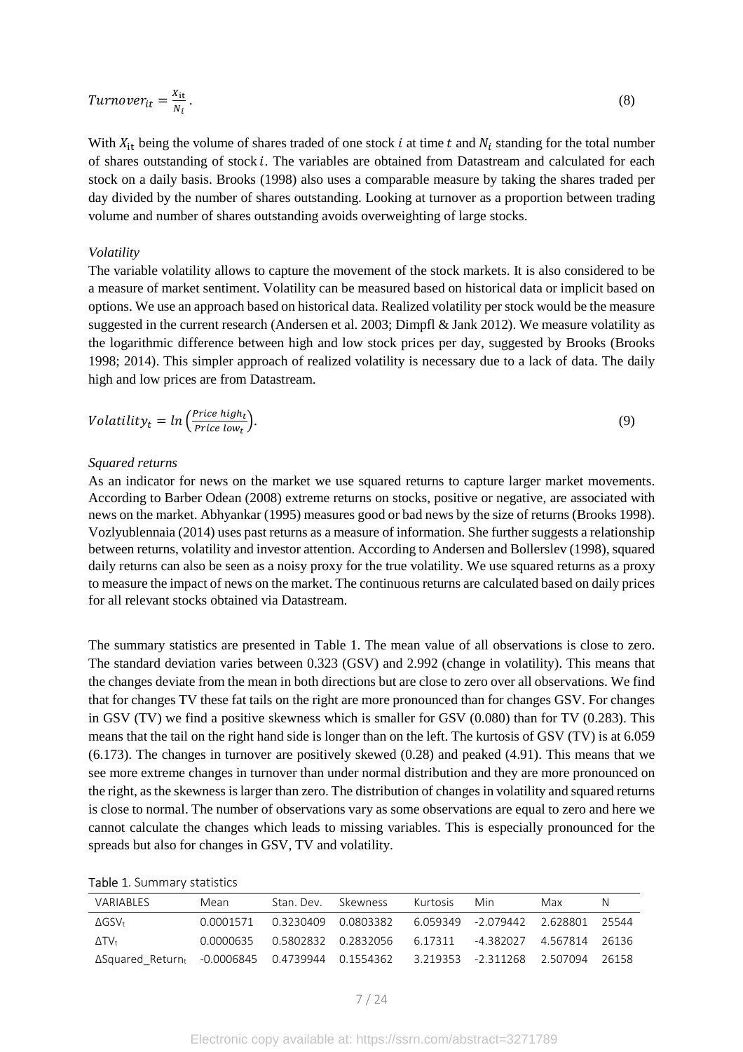$$
Turnover_{it} = \frac{x_{it}}{N_i} \,. \tag{8}
$$

With  $X_{it}$  being the volume of shares traded of one stock *i* at time *t* and  $N_i$  standing for the total number of shares outstanding of stock i. The variables are obtained from Datastream and calculated for each stock on a daily basis. Brooks (1998) also uses a comparable measure by taking the shares traded per day divided by the number of shares outstanding. Looking at turnover as a proportion between trading volume and number of shares outstanding avoids overweighting of large stocks.

#### *Volatility*

The variable volatility allows to capture the movement of the stock markets. It is also considered to be a measure of market sentiment. Volatility can be measured based on historical data or implicit based on options. We use an approach based on historical data. Realized volatility per stock would be the measure suggested in the current research (Andersen et al. 2003; Dimpfl & Jank 2012). We measure volatility as the logarithmic difference between high and low stock prices per day, suggested by Brooks (Brooks 1998; 2014). This simpler approach of realized volatility is necessary due to a lack of data. The daily high and low prices are from Datastream.

$$
Volatility_t = ln\left(\frac{Price\ high_t}{Price\ low_t}\right).
$$
\n(9)

#### *Squared returns*

As an indicator for news on the market we use squared returns to capture larger market movements. According to Barber Odean (2008) extreme returns on stocks, positive or negative, are associated with news on the market. Abhyankar (1995) measures good or bad news by the size of returns (Brooks 1998). Vozlyublennaia (2014) uses past returns as a measure of information. She further suggests a relationship between returns, volatility and investor attention. According to Andersen and Bollerslev (1998), squared daily returns can also be seen as a noisy proxy for the true volatility. We use squared returns as a proxy to measure the impact of news on the market. The continuous returns are calculated based on daily prices for all relevant stocks obtained via Datastream.

The summary statistics are presented in Table 1. The mean value of all observations is close to zero. The standard deviation varies between 0.323 (GSV) and 2.992 (change in volatility). This means that the changes deviate from the mean in both directions but are close to zero over all observations. We find that for changes TV these fat tails on the right are more pronounced than for changes GSV. For changes in GSV (TV) we find a positive skewness which is smaller for GSV (0.080) than for TV (0.283). This means that the tail on the right hand side is longer than on the left. The kurtosis of GSV (TV) is at 6.059 (6.173). The changes in turnover are positively skewed (0.28) and peaked (4.91). This means that we see more extreme changes in turnover than under normal distribution and they are more pronounced on the right, as the skewness is larger than zero. The distribution of changes in volatility and squared returns is close to normal. The number of observations vary as some observations are equal to zero and here we cannot calculate the changes which leads to missing variables. This is especially pronounced for the spreads but also for changes in GSV, TV and volatility.

#### Table 1. Summary statistics

| VARIABLES                                                                               | Mean      | Stan, Dev. Skewness |                                                            | Kurtosis | Min | Max | N     |
|-----------------------------------------------------------------------------------------|-----------|---------------------|------------------------------------------------------------|----------|-----|-----|-------|
| AGSV+                                                                                   | 0.0001571 |                     | 0.3230409  0.0803382  6.059349  -2.079442  2.628801  25544 |          |     |     |       |
| $\Delta T V_{\rm t}$                                                                    | 0.0000635 |                     |                                                            |          |     |     |       |
| ΔSquared Return <sub>t</sub> -0.0006845 0.4739944 0.1554362 3.219353 -2.311268 2.507094 |           |                     |                                                            |          |     |     | 26158 |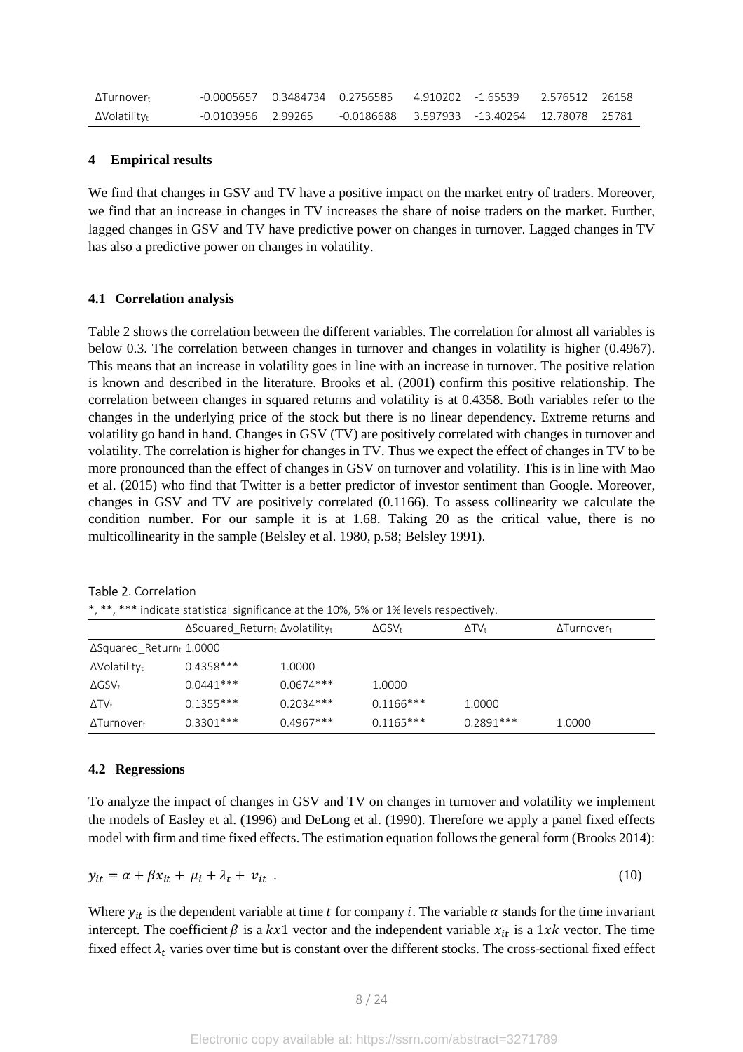| ΔTurnover <del>ι</del> |                    | -0.0005657  0.3484734  0.2756585  4.910202  -1.65539  2.576512  26158 |  |  |
|------------------------|--------------------|-----------------------------------------------------------------------|--|--|
| $\Delta$ Volatilityt   | -0.0103956 2.99265 |                                                                       |  |  |

### **4 Empirical results**

We find that changes in GSV and TV have a positive impact on the market entry of traders. Moreover, we find that an increase in changes in TV increases the share of noise traders on the market. Further, lagged changes in GSV and TV have predictive power on changes in turnover. Lagged changes in TV has also a predictive power on changes in volatility.

#### **4.1 Correlation analysis**

Table 2 shows the correlation between the different variables. The correlation for almost all variables is below 0.3. The correlation between changes in turnover and changes in volatility is higher (0.4967). This means that an increase in volatility goes in line with an increase in turnover. The positive relation is known and described in the literature. Brooks et al. (2001) confirm this positive relationship. The correlation between changes in squared returns and volatility is at 0.4358. Both variables refer to the changes in the underlying price of the stock but there is no linear dependency. Extreme returns and volatility go hand in hand. Changes in GSV (TV) are positively correlated with changes in turnover and volatility. The correlation is higher for changes in TV. Thus we expect the effect of changes in TV to be more pronounced than the effect of changes in GSV on turnover and volatility. This is in line with Mao et al. (2015) who find that Twitter is a better predictor of investor sentiment than Google. Moreover, changes in GSV and TV are positively correlated (0.1166). To assess collinearity we calculate the condition number. For our sample it is at 1.68. Taking 20 as the critical value, there is no multicollinearity in the sample (Belsley et al. 1980, p.58; Belsley 1991).

| *, **, *** indicate statistical significance at the 10%, 5% or 1% levels respectively. |                                               |             |               |                      |                              |  |  |  |
|----------------------------------------------------------------------------------------|-----------------------------------------------|-------------|---------------|----------------------|------------------------------|--|--|--|
|                                                                                        | $\Delta$ Squared Returnt $\Delta$ volatilityt |             | $\Delta$ GSV+ | $\Delta T V_{\rm t}$ | $\Delta$ Turnover $_{\rm t}$ |  |  |  |
| $\Delta$ Squared Returnt 1.0000                                                        |                                               |             |               |                      |                              |  |  |  |
| $\Delta$ Volatilityt                                                                   | $0.4358***$                                   | 1.0000      |               |                      |                              |  |  |  |
| $\Delta$ GSV <sub>t</sub>                                                              | $0.0441***$                                   | $0.0674***$ | 1.0000        |                      |                              |  |  |  |
| $\Delta T V_t$                                                                         | $0.1355***$                                   | $0.2034***$ | $0.1166***$   | 1.0000               |                              |  |  |  |
| $\Delta$ Turnover $_{\rm t}$                                                           | $0.3301***$                                   | $0.4967***$ | $0.1165***$   | $0.2891***$          | 1.0000                       |  |  |  |

Table 2. Correlation

# **4.2 Regressions**

To analyze the impact of changes in GSV and TV on changes in turnover and volatility we implement the models of Easley et al. (1996) and DeLong et al. (1990). Therefore we apply a panel fixed effects model with firm and time fixed effects. The estimation equation follows the general form (Brooks 2014):

$$
y_{it} = \alpha + \beta x_{it} + \mu_i + \lambda_t + v_{it} \tag{10}
$$

Where  $y_{it}$  is the dependent variable at time t for company i. The variable  $\alpha$  stands for the time invariant intercept. The coefficient  $\beta$  is a kx1 vector and the independent variable  $x_{it}$  is a 1xk vector. The time fixed effect  $\lambda_t$  varies over time but is constant over the different stocks. The cross-sectional fixed effect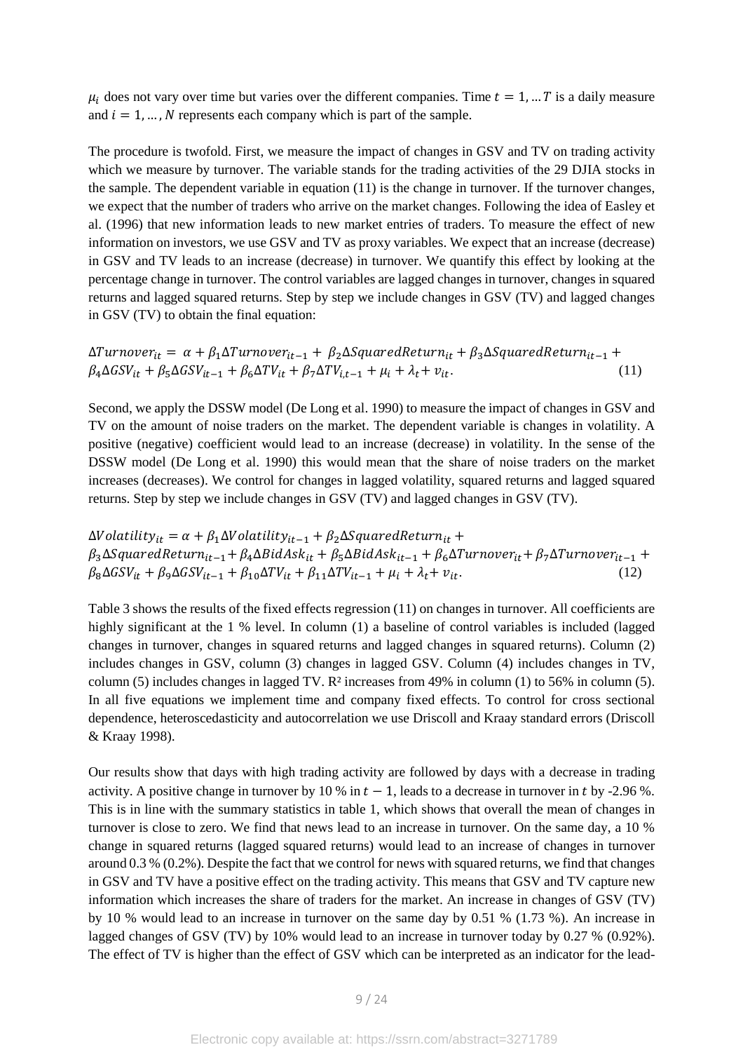$\mu_i$  does not vary over time but varies over the different companies. Time  $t = 1, ... T$  is a daily measure and  $i = 1, ..., N$  represents each company which is part of the sample.

The procedure is twofold. First, we measure the impact of changes in GSV and TV on trading activity which we measure by turnover. The variable stands for the trading activities of the 29 DJIA stocks in the sample. The dependent variable in equation (11) is the change in turnover. If the turnover changes, we expect that the number of traders who arrive on the market changes. Following the idea of Easley et al. (1996) that new information leads to new market entries of traders. To measure the effect of new information on investors, we use GSV and TV as proxy variables. We expect that an increase (decrease) in GSV and TV leads to an increase (decrease) in turnover. We quantify this effect by looking at the percentage change in turnover. The control variables are lagged changes in turnover, changes in squared returns and lagged squared returns. Step by step we include changes in GSV (TV) and lagged changes in GSV (TV) to obtain the final equation:

 $\Delta T$ urnove $r_{it} = \alpha + \beta_1 \Delta T$ urnove $r_{it-1} + \beta_2 \Delta S$ quared $R$ etur $n_{it} + \beta_3 \Delta S$ quared $R$ etur $n_{it-1} + \beta_4 S$  $\beta_4\Delta GSV_{it} + \beta_5\Delta GSV_{it-1} + \beta_6\Delta TV_{it} + \beta_7\Delta TV_{i,t-1} + \mu_i + \lambda_t + v_{it}.$  (11)

Second, we apply the DSSW model (De Long et al. 1990) to measure the impact of changes in GSV and TV on the amount of noise traders on the market. The dependent variable is changes in volatility. A positive (negative) coefficient would lead to an increase (decrease) in volatility. In the sense of the DSSW model (De Long et al. 1990) this would mean that the share of noise traders on the market increases (decreases). We control for changes in lagged volatility, squared returns and lagged squared returns. Step by step we include changes in GSV (TV) and lagged changes in GSV (TV).

 $\Delta V$ olatilit $y_{it} = \alpha + \beta_1 \Delta V$ olatilit $y_{it-1} + \beta_2 \Delta S$ quared $Return_{it} +$  $\beta_3 \Delta Square dReturn_{it-1} + \beta_4 \Delta BidAsk_{it} + \beta_5 \Delta BidAsk_{it-1} + \beta_6 \Delta Turnover_{it} + \beta_7 \Delta Turnover_{it-1} +$  $\beta_8\Delta GSV_{it} + \beta_9\Delta GSV_{it-1} + \beta_{10}\Delta TV_{it} + \beta_{11}\Delta TV_{it-1} + \mu_i + \lambda_t + v_{it}.$  (12)

Table 3 shows the results of the fixed effects regression (11) on changes in turnover. All coefficients are highly significant at the 1 % level. In column (1) a baseline of control variables is included (lagged changes in turnover, changes in squared returns and lagged changes in squared returns). Column (2) includes changes in GSV, column (3) changes in lagged GSV. Column (4) includes changes in TV, column (5) includes changes in lagged TV. R² increases from 49% in column (1) to 56% in column (5). In all five equations we implement time and company fixed effects. To control for cross sectional dependence, heteroscedasticity and autocorrelation we use Driscoll and Kraay standard errors (Driscoll & Kraay 1998).

Our results show that days with high trading activity are followed by days with a decrease in trading activity. A positive change in turnover by 10 % in  $t - 1$ , leads to a decrease in turnover in t by -2.96 %. This is in line with the summary statistics in table 1, which shows that overall the mean of changes in turnover is close to zero. We find that news lead to an increase in turnover. On the same day, a 10 % change in squared returns (lagged squared returns) would lead to an increase of changes in turnover around 0.3 % (0.2%). Despite the fact that we control for news with squared returns, we find that changes in GSV and TV have a positive effect on the trading activity. This means that GSV and TV capture new information which increases the share of traders for the market. An increase in changes of GSV (TV) by 10 % would lead to an increase in turnover on the same day by 0.51 % (1.73 %). An increase in lagged changes of GSV (TV) by 10% would lead to an increase in turnover today by 0.27 % (0.92%). The effect of TV is higher than the effect of GSV which can be interpreted as an indicator for the lead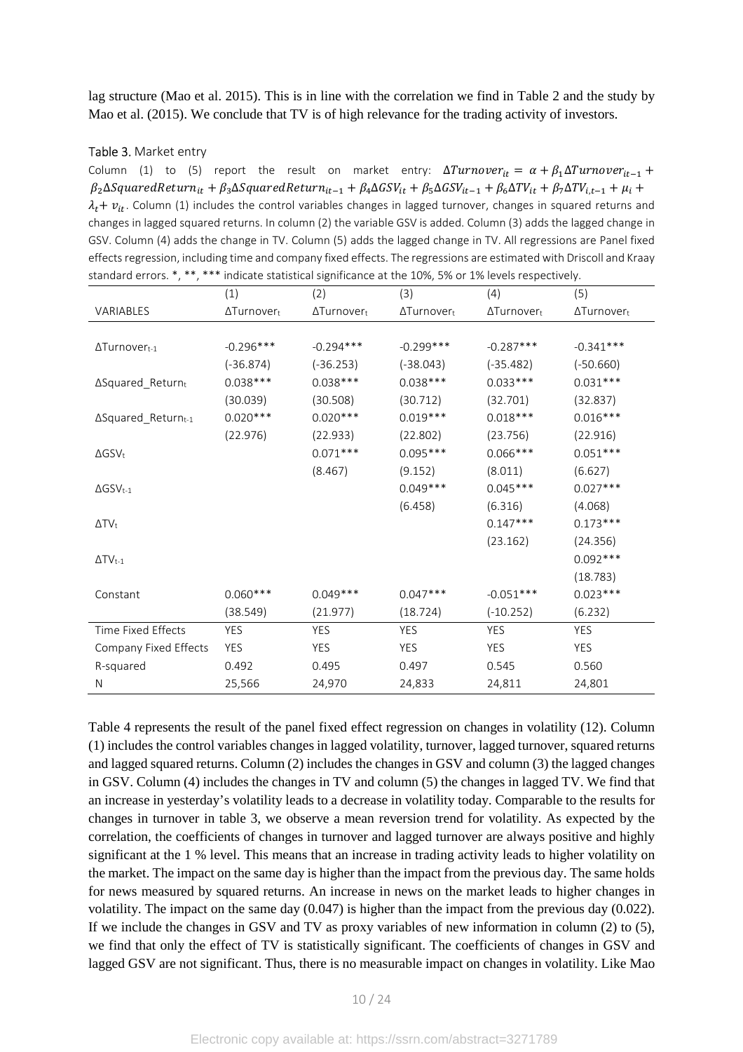lag structure (Mao et al. 2015). This is in line with the correlation we find in Table 2 and the study by Mao et al. (2015). We conclude that TV is of high relevance for the trading activity of investors.

#### Table 3. Market entry

Column (1) to (5) report the result on market entry:  $\Delta Turnover_{it} = \alpha + \beta_1 \Delta Turnover_{it-1} +$  $\beta_2 \Delta Squared$ Retur $n_{it} + \beta_3 \Delta Squared$ Retur $n_{it-1} + \beta_4 \Delta GSV_{it} + \beta_5 \Delta GSV_{it-1} + \beta_6 \Delta TV_{it} + \beta_7 \Delta TV_{i,t-1} + \mu_i +$  $\lambda_t$  +  $v_{it}$ . Column (1) includes the control variables changes in lagged turnover, changes in squared returns and changes in lagged squared returns. In column (2) the variable GSV is added. Column (3) adds the lagged change in GSV. Column (4) adds the change in TV. Column (5) adds the lagged change in TV. All regressions are Panel fixed effects regression, including time and company fixed effects. The regressions are estimated with Driscoll and Kraay standard errors. \*, \*\*, \*\*\* indicate statistical significance at the 10%, 5% or 1% levels respectively.

|                             | (1)                | (2)                | (3)                | (4)                | (5)                |
|-----------------------------|--------------------|--------------------|--------------------|--------------------|--------------------|
| VARIABLES                   | $\Delta$ Turnovert | $\Delta$ Turnovert | $\Delta$ Turnovert | $\Delta$ Turnovert | $\Delta$ Turnovert |
|                             |                    |                    |                    |                    |                    |
| $\Delta$ Turnovert-1        | $-0.296***$        | $-0.294***$        | $-0.299***$        | $-0.287***$        | $-0.341***$        |
|                             | $(-36.874)$        | $(-36.253)$        | $(-38.043)$        | $(-35.482)$        | $(-50.660)$        |
| ∆Squared_Returnt            | $0.038***$         | $0.038***$         | $0.038***$         | $0.033***$         | $0.031***$         |
|                             | (30.039)           | (30.508)           | (30.712)           | (32.701)           | (32.837)           |
| ΔSquared_Returnt-1          | $0.020***$         | $0.020***$         | $0.019***$         | $0.018***$         | $0.016***$         |
|                             | (22.976)           | (22.933)           | (22.802)           | (23.756)           | (22.916)           |
| $\Delta$ GSV <sub>t</sub>   |                    | $0.071***$         | $0.095***$         | $0.066***$         | $0.051***$         |
|                             |                    | (8.467)            | (9.152)            | (8.011)            | (6.627)            |
| $\Delta$ GSV <sub>t-1</sub> |                    |                    | $0.049***$         | $0.045***$         | $0.027***$         |
|                             |                    |                    | (6.458)            | (6.316)            | (4.068)            |
| $\Delta TV_t$               |                    |                    |                    | $0.147***$         | $0.173***$         |
|                             |                    |                    |                    | (23.162)           | (24.356)           |
| $\Delta TV_{t-1}$           |                    |                    |                    |                    | $0.092***$         |
|                             |                    |                    |                    |                    | (18.783)           |
| Constant                    | $0.060***$         | $0.049***$         | $0.047***$         | $-0.051***$        | $0.023***$         |
|                             | (38.549)           | (21.977)           | (18.724)           | $(-10.252)$        | (6.232)            |
| Time Fixed Effects          | <b>YES</b>         | <b>YES</b>         | <b>YES</b>         | <b>YES</b>         | <b>YES</b>         |
| Company Fixed Effects       | YES                | <b>YES</b>         | YES                | YES                | YES                |
| R-squared                   | 0.492              | 0.495              | 0.497              | 0.545              | 0.560              |
| N                           | 25,566             | 24,970             | 24,833             | 24,811             | 24,801             |

Table 4 represents the result of the panel fixed effect regression on changes in volatility (12). Column (1) includes the control variables changes in lagged volatility, turnover, lagged turnover, squared returns and lagged squared returns. Column (2) includes the changes in GSV and column (3) the lagged changes in GSV. Column (4) includes the changes in TV and column (5) the changes in lagged TV. We find that an increase in yesterday's volatility leads to a decrease in volatility today. Comparable to the results for changes in turnover in table 3, we observe a mean reversion trend for volatility. As expected by the correlation, the coefficients of changes in turnover and lagged turnover are always positive and highly significant at the 1 % level. This means that an increase in trading activity leads to higher volatility on the market. The impact on the same day is higher than the impact from the previous day. The same holds for news measured by squared returns. An increase in news on the market leads to higher changes in volatility. The impact on the same day (0.047) is higher than the impact from the previous day (0.022). If we include the changes in GSV and TV as proxy variables of new information in column (2) to (5), we find that only the effect of TV is statistically significant. The coefficients of changes in GSV and lagged GSV are not significant. Thus, there is no measurable impact on changes in volatility. Like Mao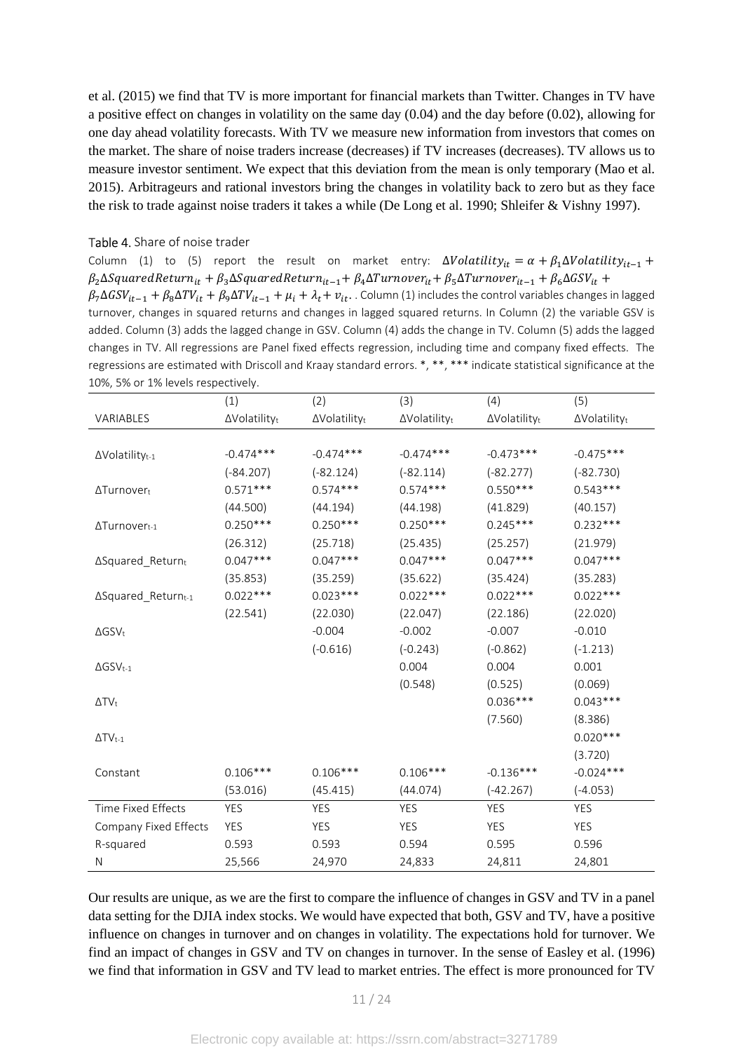et al. (2015) we find that TV is more important for financial markets than Twitter. Changes in TV have a positive effect on changes in volatility on the same day (0.04) and the day before (0.02), allowing for one day ahead volatility forecasts. With TV we measure new information from investors that comes on the market. The share of noise traders increase (decreases) if TV increases (decreases). TV allows us to measure investor sentiment. We expect that this deviation from the mean is only temporary (Mao et al. 2015). Arbitrageurs and rational investors bring the changes in volatility back to zero but as they face the risk to trade against noise traders it takes a while (De Long et al. 1990; Shleifer & Vishny 1997).

## Table 4. Share of noise trader

Column (1) to (5) report the result on market entry:  $\Delta Volatility_{it} = \alpha + \beta_1 \Delta Volatility_{it-1} +$  $\beta_2$  $\Delta$ Squared $R$ eturn $_{it}$  +  $\beta_3$  $\Delta$ Squared $R$ eturn $_{it-1}$ +  $\beta_4$  $\Delta T$ urnover $_{it}$ +  $\beta_5$  $\Delta T$ urnover $_{it-1}$  +  $\beta_6$  $\Delta G$ S $V_{it}$  +  $\beta_7\Delta GSV_{it-1} + \beta_8\Delta TV_{it} + \beta_9\Delta TV_{it-1} + \mu_i + \lambda_t + v_{it}$ . Column (1) includes the control variables changes in lagged turnover, changes in squared returns and changes in lagged squared returns. In Column (2) the variable GSV is added. Column (3) adds the lagged change in GSV. Column (4) adds the change in TV. Column (5) adds the lagged changes in TV. All regressions are Panel fixed effects regression, including time and company fixed effects. The regressions are estimated with Driscoll and Kraay standard errors. \*, \*\*, \*\*\* indicate statistical significance at the 10%, 5% or 1% levels respectively.

|                                    | (1)          | (2)          | (3)          | (4)          | (5)          |
|------------------------------------|--------------|--------------|--------------|--------------|--------------|
| <b>VARIABLES</b>                   | ∆Volatilityt | ∆Volatilityt | ∆Volatilityt | ∆Volatilityt | ∆Volatilityt |
|                                    |              |              |              |              |              |
| $\Delta$ Volatility <sub>t-1</sub> | $-0.474***$  | $-0.474***$  | $-0.474***$  | $-0.473***$  | $-0.475***$  |
|                                    | $(-84.207)$  | $(-82.124)$  | $(-82.114)$  | $(-82.277)$  | $(-82.730)$  |
| ΔTurnover <sub>t</sub>             | $0.571***$   | $0.574***$   | $0.574***$   | $0.550***$   | $0.543***$   |
|                                    | (44.500)     | (44.194)     | (44.198)     | (41.829)     | (40.157)     |
| $\Delta$ Turnovert-1               | $0.250***$   | $0.250***$   | $0.250***$   | $0.245***$   | $0.232***$   |
|                                    | (26.312)     | (25.718)     | (25.435)     | (25.257)     | (21.979)     |
| $\Delta$ Squared_Returnt           | $0.047***$   | $0.047***$   | $0.047***$   | $0.047***$   | $0.047***$   |
|                                    | (35.853)     | (35.259)     | (35.622)     | (35.424)     | (35.283)     |
| ∆Squared_Return <sub>t-1</sub>     | $0.022***$   | $0.023***$   | $0.022***$   | $0.022***$   | $0.022***$   |
|                                    | (22.541)     | (22.030)     | (22.047)     | (22.186)     | (22.020)     |
| $\Delta$ GSV <sub>t</sub>          |              | $-0.004$     | $-0.002$     | $-0.007$     | $-0.010$     |
|                                    |              | $(-0.616)$   | $(-0.243)$   | $(-0.862)$   | $(-1.213)$   |
| $\Delta$ GSV <sub>t-1</sub>        |              |              | 0.004        | 0.004        | 0.001        |
|                                    |              |              | (0.548)      | (0.525)      | (0.069)      |
| $\Delta TV_t$                      |              |              |              | $0.036***$   | $0.043***$   |
|                                    |              |              |              | (7.560)      | (8.386)      |
| $\Delta TV_{t-1}$                  |              |              |              |              | $0.020***$   |
|                                    |              |              |              |              | (3.720)      |
| Constant                           | $0.106***$   | $0.106***$   | $0.106***$   | $-0.136***$  | $-0.024***$  |
|                                    | (53.016)     | (45.415)     | (44.074)     | $(-42.267)$  | $(-4.053)$   |
| Time Fixed Effects                 | YES          | <b>YES</b>   | <b>YES</b>   | <b>YES</b>   | <b>YES</b>   |
| Company Fixed Effects              | YES          | <b>YES</b>   | <b>YES</b>   | YES          | YES          |
| R-squared                          | 0.593        | 0.593        | 0.594        | 0.595        | 0.596        |
| N                                  | 25,566       | 24,970       | 24,833       | 24,811       | 24,801       |

Our results are unique, as we are the first to compare the influence of changes in GSV and TV in a panel data setting for the DJIA index stocks. We would have expected that both, GSV and TV, have a positive influence on changes in turnover and on changes in volatility. The expectations hold for turnover. We find an impact of changes in GSV and TV on changes in turnover. In the sense of Easley et al. (1996) we find that information in GSV and TV lead to market entries. The effect is more pronounced for TV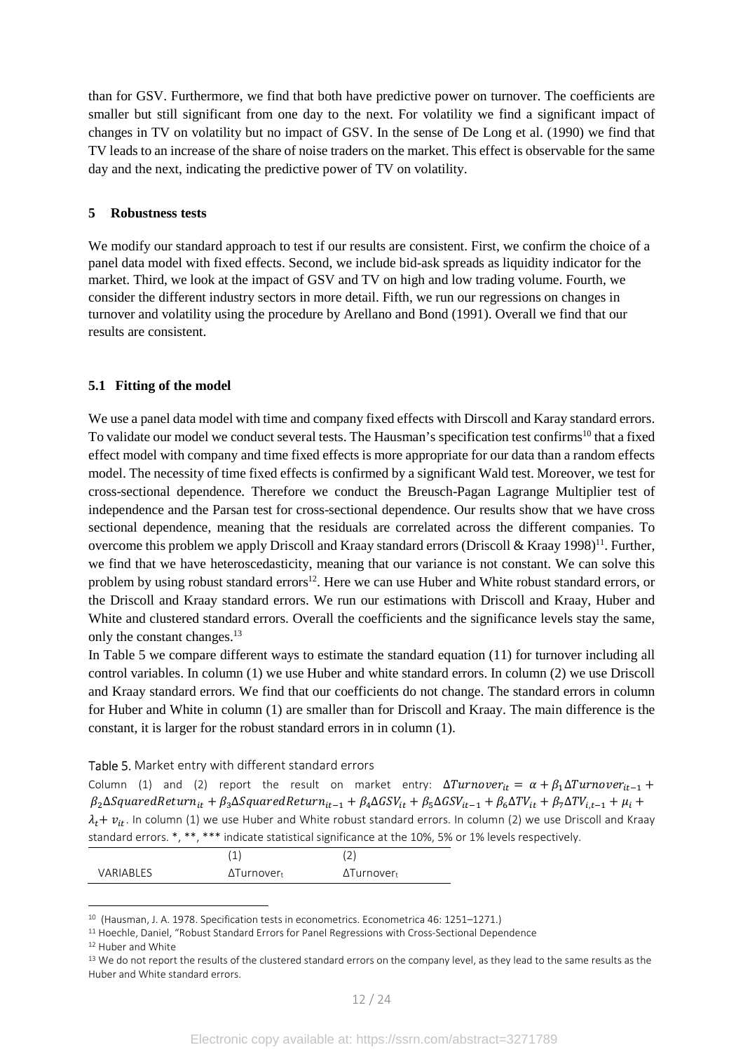than for GSV. Furthermore, we find that both have predictive power on turnover. The coefficients are smaller but still significant from one day to the next. For volatility we find a significant impact of changes in TV on volatility but no impact of GSV. In the sense of De Long et al. (1990) we find that TV leads to an increase of the share of noise traders on the market. This effect is observable for the same day and the next, indicating the predictive power of TV on volatility.

### **5 Robustness tests**

We modify our standard approach to test if our results are consistent. First, we confirm the choice of a panel data model with fixed effects. Second, we include bid-ask spreads as liquidity indicator for the market. Third, we look at the impact of GSV and TV on high and low trading volume. Fourth, we consider the different industry sectors in more detail. Fifth, we run our regressions on changes in turnover and volatility using the procedure by Arellano and Bond (1991). Overall we find that our results are consistent.

# **5.1 Fitting of the model**

We use a panel data model with time and company fixed effects with Dirscoll and Karay standard errors. To validate our model we conduct several tests. The Hausman's specification test confirms<sup>10</sup> that a fixed effect model with company and time fixed effects is more appropriate for our data than a random effects model. The necessity of time fixed effects is confirmed by a significant Wald test. Moreover, we test for cross-sectional dependence. Therefore we conduct the Breusch-Pagan Lagrange Multiplier test of independence and the Parsan test for cross-sectional dependence. Our results show that we have cross sectional dependence, meaning that the residuals are correlated across the different companies. To overcome this problem we apply Driscoll and Kraay standard errors (Driscoll & Kraay 1998)<sup>11</sup>. Further, we find that we have heteroscedasticity, meaning that our variance is not constant. We can solve this problem by using robust standard errors<sup>12</sup>. Here we can use Huber and White robust standard errors, or the Driscoll and Kraay standard errors. We run our estimations with Driscoll and Kraay, Huber and White and clustered standard errors. Overall the coefficients and the significance levels stay the same, only the constant changes.<sup>13</sup>

In Table 5 we compare different ways to estimate the standard equation (11) for turnover including all control variables. In column (1) we use Huber and white standard errors. In column (2) we use Driscoll and Kraay standard errors. We find that our coefficients do not change. The standard errors in column for Huber and White in column (1) are smaller than for Driscoll and Kraay. The main difference is the constant, it is larger for the robust standard errors in in column (1).

Table 5. Market entry with different standard errors

Column (1) and (2) report the result on market entry:  $\Delta Turnover_{it} = \alpha + \beta_1 \Delta Turnover_{it-1} +$  $\beta_2 \Delta Squared$ Retur $n_{it} + \beta_3 \Delta Squared$ Retur $n_{it-1} + \beta_4 \Delta GSV_{it} + \beta_5 \Delta GSV_{it-1} + \beta_6 \Delta TV_{it} + \beta_7 \Delta TV_{i,t-1} + \mu_i +$  $\lambda_t$  +  $v_{it}$ . In column (1) we use Huber and White robust standard errors. In column (2) we use Driscoll and Kraay standard errors. \*, \*\*, \*\*\* indicate statistical significance at the 10%, 5% or 1% levels respectively.

|                  |                              | $\sim$<br>∠                  |
|------------------|------------------------------|------------------------------|
| <b>VARIABLES</b> | $\Delta$ Turnover $_{\rm t}$ | $\Delta$ Turnover $_{\rm t}$ |

<sup>10</sup> (Hausman, J. A. 1978. Specification tests in econometrics. Econometrica 46: 1251–1271.)

l

<sup>11</sup> Hoechle, Daniel, "Robust Standard Errors for Panel Regressions with Cross-Sectional Dependence

<sup>12</sup> Huber and White

<sup>&</sup>lt;sup>13</sup> We do not report the results of the clustered standard errors on the company level, as they lead to the same results as the Huber and White standard errors.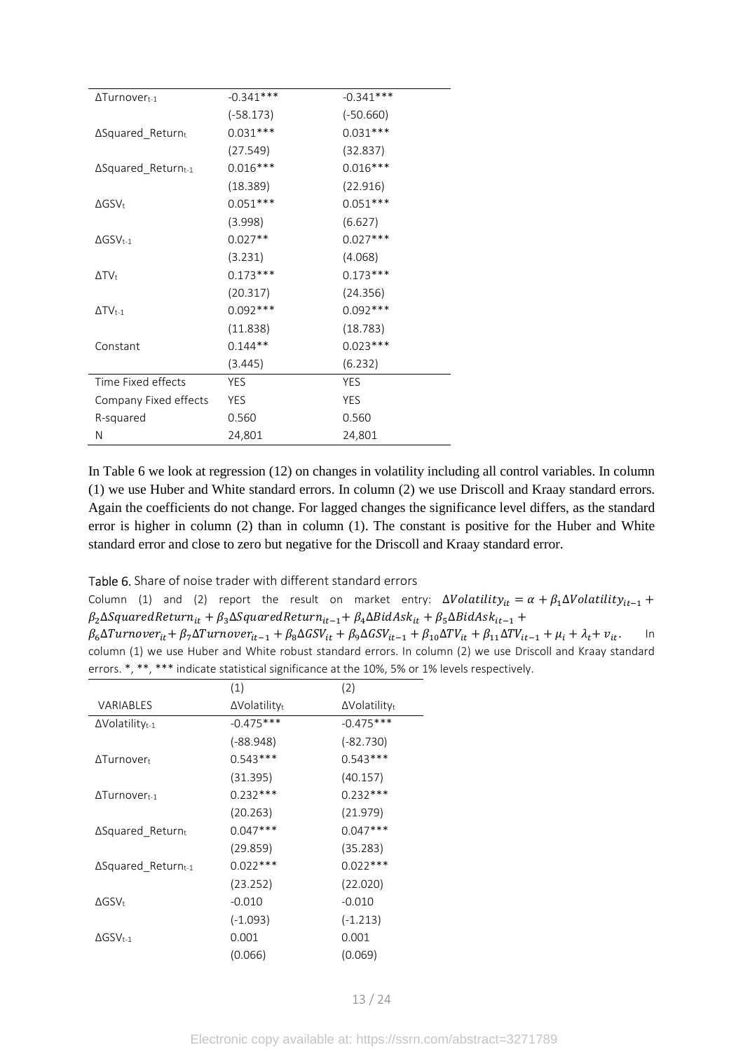| $\Delta$ Turnovert-1        | $-0.341***$ | $-0.341***$ |
|-----------------------------|-------------|-------------|
|                             | $(-58.173)$ | $(-50.660)$ |
| ∆Squared_Returnt            | $0.031***$  | $0.031***$  |
|                             | (27.549)    | (32.837)    |
| ∆Squared_Returnt-1          | $0.016***$  | $0.016***$  |
|                             | (18.389)    | (22.916)    |
| $\Delta$ GSV <sub>t</sub>   | $0.051***$  | $0.051***$  |
|                             | (3.998)     | (6.627)     |
| $\Delta$ GSV <sub>t-1</sub> | $0.027**$   | $0.027***$  |
|                             | (3.231)     | (4.068)     |
| $\Delta TV_t$               | $0.173***$  | $0.173***$  |
|                             | (20.317)    | (24.356)    |
| $\Delta TV$ t-1             | $0.092***$  | $0.092***$  |
|                             | (11.838)    | (18.783)    |
| Constant                    | $0.144**$   | $0.023***$  |
|                             | (3.445)     | (6.232)     |
| Time Fixed effects          | <b>YES</b>  | <b>YES</b>  |
| Company Fixed effects       | <b>YES</b>  | <b>YES</b>  |
| R-squared                   | 0.560       | 0.560       |
| Ν                           | 24,801      | 24,801      |

In Table 6 we look at regression (12) on changes in volatility including all control variables. In column (1) we use Huber and White standard errors. In column (2) we use Driscoll and Kraay standard errors. Again the coefficients do not change. For lagged changes the significance level differs, as the standard error is higher in column (2) than in column (1). The constant is positive for the Huber and White standard error and close to zero but negative for the Driscoll and Kraay standard error.

Table 6. Share of noise trader with different standard errors

Column (1) and (2) report the result on market entry:  $\Delta Volatility_{it} = \alpha + \beta_1 \Delta Volatility_{it-1} +$  $\beta_2$ ∆SquaredRetur $n_{it}$  +  $\beta_3$ ∆SquaredRetur $n_{it-1}$ +  $\beta_4$ ∆Bid $As$ k $_{it}$  +  $\beta_5$ ∆Bid $As$ k $_{it-1}$  +

| $\beta_6 \Delta Turnover_{it} + \beta_7 \Delta Turnover_{it-1} + \beta_8 \Delta GSV_{it} + \beta_9 \Delta GSV_{it-1} + \beta_{10} \Delta TV_{it} + \beta_{11} \Delta TV_{it-1} + \mu_i + \lambda_t + v_{it}.$ | $\ln$ |
|---------------------------------------------------------------------------------------------------------------------------------------------------------------------------------------------------------------|-------|
| column (1) we use Huber and White robust standard errors. In column (2) we use Driscoll and Kraay standard                                                                                                    |       |
| errors. $*, **$ , $***$ indicate statistical significance at the 10%, 5% or 1% levels respectively.                                                                                                           |       |

|                                    | (1)                  | (2)                  |
|------------------------------------|----------------------|----------------------|
| VARIABLES                          | $\Delta$ Volatilityt | $\Delta$ Volatilityt |
| $\Delta$ Volatility <sub>t-1</sub> | $-0.475***$          | $-0.475***$          |
|                                    | $(-88.948)$          | $(-82.730)$          |
| $\Delta$ Turnovert                 | $0.543***$           | $0.543***$           |
|                                    | (31.395)             | (40.157)             |
| $\Delta$ Turnovert-1               | $0.232***$           | $0.232***$           |
|                                    | (20.263)             | (21.979)             |
| $\Delta$ Squared Returnt           | $0.047***$           | $0.047***$           |
|                                    | (29.859)             | (35.283)             |
| ∆Squared_Returnt-1                 | $0.022***$           | $0.022***$           |
|                                    | (23.252)             | (22.020)             |
| $\Delta$ GSV+                      | $-0.010$             | $-0.010$             |
|                                    | $(-1.093)$           | $(-1.213)$           |
| $\Delta$ GSV <sub>t-1</sub>        | 0.001                | 0.001                |
|                                    | (0.066)              | (0.069)              |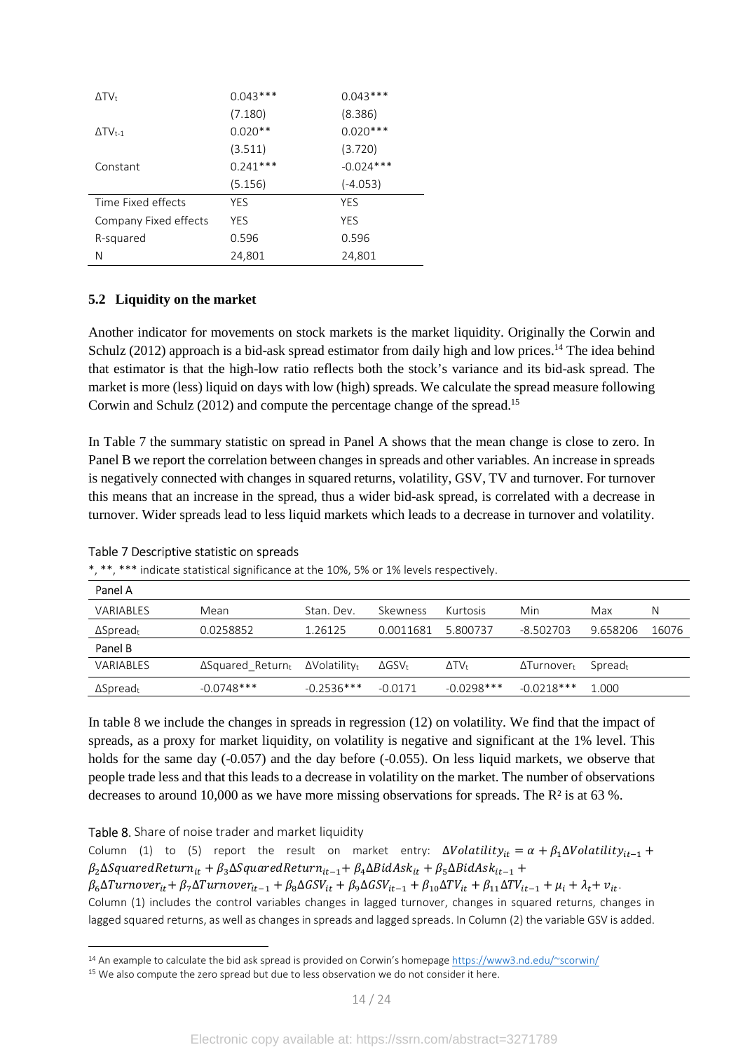| $\Delta T V_t$             | $0.043***$ | $0.043***$  |
|----------------------------|------------|-------------|
|                            | (7.180)    | (8.386)     |
| $\Delta TV$ <sub>t-1</sub> | $0.020**$  | $0.020***$  |
|                            | (3.511)    | (3.720)     |
| Constant                   | $0.241***$ | $-0.024***$ |
|                            | (5.156)    | $(-4.053)$  |
| Time Fixed effects         | YES        | YES         |
| Company Fixed effects      | <b>YFS</b> | <b>YFS</b>  |
| R-squared                  | 0.596      | 0.596       |
| Ν                          | 24,801     | 24,801      |

# **5.2 Liquidity on the market**

Another indicator for movements on stock markets is the market liquidity. Originally the Corwin and Schulz (2012) approach is a bid-ask spread estimator from daily high and low prices.<sup>14</sup> The idea behind that estimator is that the high-low ratio reflects both the stock's variance and its bid-ask spread. The market is more (less) liquid on days with low (high) spreads. We calculate the spread measure following Corwin and Schulz (2012) and compute the percentage change of the spread.<sup>15</sup>

In Table 7 the summary statistic on spread in Panel A shows that the mean change is close to zero. In Panel B we report the correlation between changes in spreads and other variables. An increase in spreads is negatively connected with changes in squared returns, volatility, GSV, TV and turnover. For turnover this means that an increase in the spread, thus a wider bid-ask spread, is correlated with a decrease in turnover. Wider spreads lead to less liquid markets which leads to a decrease in turnover and volatility.

| indicate statistical significance at the 10%, 5% or 1% levels respectively. |                          |                                  |                           |                |                    |                     |       |  |
|-----------------------------------------------------------------------------|--------------------------|----------------------------------|---------------------------|----------------|--------------------|---------------------|-------|--|
| Panel A                                                                     |                          |                                  |                           |                |                    |                     |       |  |
| <b>VARIABLES</b>                                                            | Mean                     | Stan, Dev.                       | Skewness                  | Kurtosis       | Min                | Max                 | N     |  |
| $\Delta$ Spread <sub>t</sub>                                                | 0.0258852                | 1.26125                          | 0.0011681                 | 5.800737       | $-8.502703$        | 9.658206            | 16076 |  |
| Panel B                                                                     |                          |                                  |                           |                |                    |                     |       |  |
| VARIABLES                                                                   | $\Delta$ Squared Returnt | $\Delta$ Volatilitv <sub>t</sub> | $\Delta$ GSV <sub>t</sub> | $\Delta T V_t$ | $\Delta$ Turnovert | Spread <sub>t</sub> |       |  |
| $\Delta$ Spreadt                                                            | $-0.0748***$             | $-0.2536***$                     | $-0.0171$                 | $-0.0298***$   | $-0.0218***$       | 1.000               |       |  |

#### Table 7 Descriptive statistic on spreads

\*, \*\*, \*\*\* indicate statistical significance at the 10%, 5% or 1% levels respectively.

In table 8 we include the changes in spreads in regression (12) on volatility. We find that the impact of spreads, as a proxy for market liquidity, on volatility is negative and significant at the 1% level. This holds for the same day (-0.057) and the day before (-0.055). On less liquid markets, we observe that people trade less and that this leads to a decrease in volatility on the market. The number of observations decreases to around 10,000 as we have more missing observations for spreads. The R² is at 63 %.

# Table 8. Share of noise trader and market liquidity

l

Column (1) to (5) report the result on market entry:  $\Delta Volatility_{it} = \alpha + \beta_1 \Delta Volatility_{it-1} +$  $\beta_2$ ∆SquaredRetur $n_{it}$  +  $\beta_3$ ∆SquaredRetur $n_{it-1}$ +  $\beta_4$ ∆Bid $As$ k $_{it}$  +  $\beta_5$ ∆Bid $As$ k $_{it-1}$  +  $\beta_6\Delta T$ urnover<sub>it</sub> +  $\beta_7\Delta T$ urnover<sub>it-1</sub> +  $\beta_8\Delta GSV_{it} + \beta_9\Delta GSV_{it-1} + \beta_{10}\Delta TV_{it} + \beta_{11}\Delta TV_{it-1} + \mu_i + \lambda_t + v_{it}$ . Column (1) includes the control variables changes in lagged turnover, changes in squared returns, changes in lagged squared returns, as well as changes in spreads and lagged spreads. In Column (2) the variable GSV is added.

<sup>&</sup>lt;sup>14</sup> An example to calculate the bid ask spread is provided on Corwin's homepage https://www3.nd.edu/~scorwin/

<sup>&</sup>lt;sup>15</sup> We also compute the zero spread but due to less observation we do not consider it here.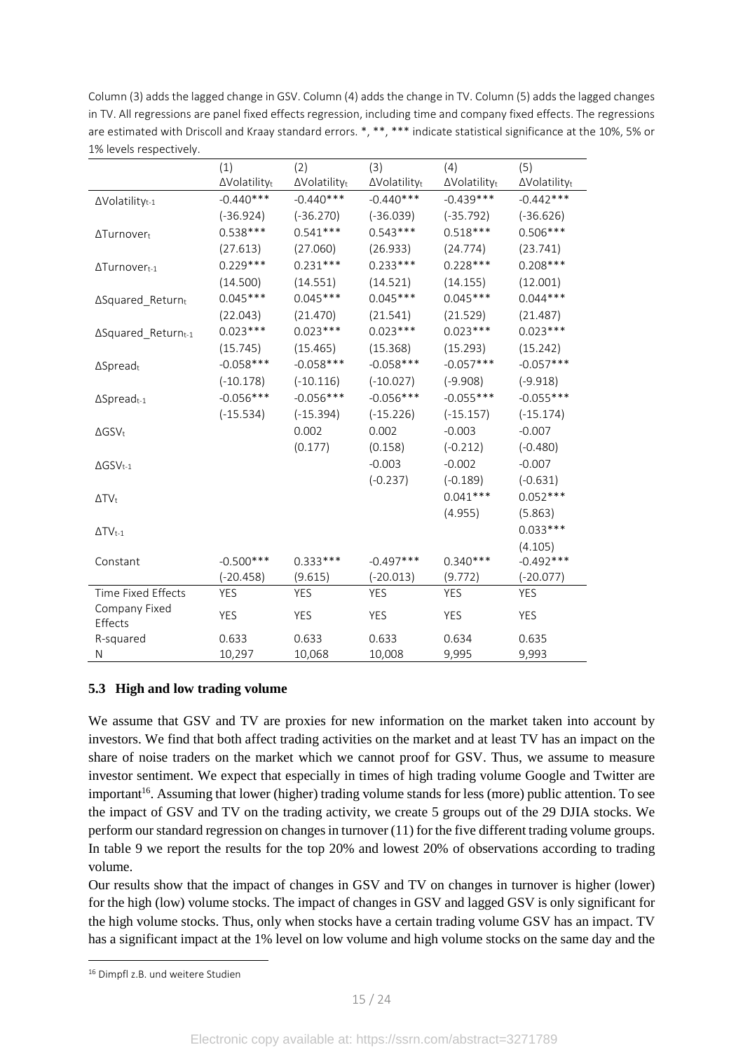Column (3) adds the lagged change in GSV. Column (4) adds the change in TV. Column (5) adds the lagged changes in TV. All regressions are panel fixed effects regression, including time and company fixed effects. The regressions are estimated with Driscoll and Kraay standard errors. \*, \*\*, \*\*\* indicate statistical significance at the 10%, 5% or 1% levels respectively.

|                                    | (1)          | (2)          | (3)          | (4)                  | (5)          |
|------------------------------------|--------------|--------------|--------------|----------------------|--------------|
|                                    | ∆Volatilityt | ∆Volatilityt | ∆Volatilityt | $\Delta$ Volatilityt | ∆Volatilityt |
| $\Delta$ Volatility <sub>t-1</sub> | $-0.440***$  | $-0.440***$  | $-0.440***$  | $-0.439***$          | $-0.442***$  |
|                                    | $(-36.924)$  | $(-36.270)$  | $(-36.039)$  | $(-35.792)$          | $(-36.626)$  |
| ΔTurnover <sub>t</sub>             | $0.538***$   | $0.541***$   | $0.543***$   | $0.518***$           | $0.506***$   |
|                                    | (27.613)     | (27.060)     | (26.933)     | (24.774)             | (23.741)     |
| $\Delta$ Turnover <sub>t-1</sub>   | $0.229***$   | $0.231***$   | $0.233***$   | $0.228***$           | $0.208***$   |
|                                    | (14.500)     | (14.551)     | (14.521)     | (14.155)             | (12.001)     |
| $\Delta$ Squared_Returnt           | $0.045***$   | $0.045***$   | $0.045***$   | $0.045***$           | $0.044***$   |
|                                    | (22.043)     | (21.470)     | (21.541)     | (21.529)             | (21.487)     |
| ∆Squared_Returnt-1                 | $0.023***$   | $0.023***$   | $0.023***$   | $0.023***$           | $0.023***$   |
|                                    | (15.745)     | (15.465)     | (15.368)     | (15.293)             | (15.242)     |
| $\Delta$ Spreadt                   | $-0.058***$  | $-0.058***$  | $-0.058***$  | $-0.057***$          | $-0.057***$  |
|                                    | $(-10.178)$  | $(-10.116)$  | $(-10.027)$  | $(-9.908)$           | $(-9.918)$   |
| $\Delta$ Spreadt-1                 | $-0.056***$  | $-0.056***$  | $-0.056***$  | $-0.055***$          | $-0.055***$  |
|                                    | $(-15.534)$  | $(-15.394)$  | $(-15.226)$  | $(-15.157)$          | $(-15.174)$  |
| $\Delta$ GSV <sub>t</sub>          |              | 0.002        | 0.002        | $-0.003$             | $-0.007$     |
|                                    |              | (0.177)      | (0.158)      | $(-0.212)$           | $(-0.480)$   |
| $\Delta$ GSV <sub>t-1</sub>        |              |              | $-0.003$     | $-0.002$             | $-0.007$     |
|                                    |              |              | $(-0.237)$   | $(-0.189)$           | $(-0.631)$   |
| $\Delta TV_t$                      |              |              |              | $0.041***$           | $0.052***$   |
|                                    |              |              |              | (4.955)              | (5.863)      |
| $\Delta TV_{t-1}$                  |              |              |              |                      | $0.033***$   |
|                                    |              |              |              |                      | (4.105)      |
| Constant                           | $-0.500***$  | $0.333***$   | $-0.497***$  | $0.340***$           | $-0.492***$  |
|                                    | $(-20.458)$  | (9.615)      | $(-20.013)$  | (9.772)              | $(-20.077)$  |
| Time Fixed Effects                 | <b>YES</b>   | <b>YES</b>   | <b>YES</b>   | <b>YES</b>           | <b>YES</b>   |
| Company Fixed                      | <b>YES</b>   | YES          | YES          | YES                  | YES          |
| Effects                            |              |              |              |                      |              |
| R-squared                          | 0.633        | 0.633        | 0.633        | 0.634                | 0.635        |
| N                                  | 10,297       | 10,068       | 10,008       | 9,995                | 9,993        |

# **5.3 High and low trading volume**

We assume that GSV and TV are proxies for new information on the market taken into account by investors. We find that both affect trading activities on the market and at least TV has an impact on the share of noise traders on the market which we cannot proof for GSV. Thus, we assume to measure investor sentiment. We expect that especially in times of high trading volume Google and Twitter are important<sup>16</sup>. Assuming that lower (higher) trading volume stands for less (more) public attention. To see the impact of GSV and TV on the trading activity, we create 5 groups out of the 29 DJIA stocks. We perform our standard regression on changes in turnover (11) for the five different trading volume groups. In table 9 we report the results for the top 20% and lowest 20% of observations according to trading volume.

Our results show that the impact of changes in GSV and TV on changes in turnover is higher (lower) for the high (low) volume stocks. The impact of changes in GSV and lagged GSV is only significant for the high volume stocks. Thus, only when stocks have a certain trading volume GSV has an impact. TV has a significant impact at the 1% level on low volume and high volume stocks on the same day and the

<sup>&</sup>lt;sup>16</sup> Dimpfl z.B. und weitere Studien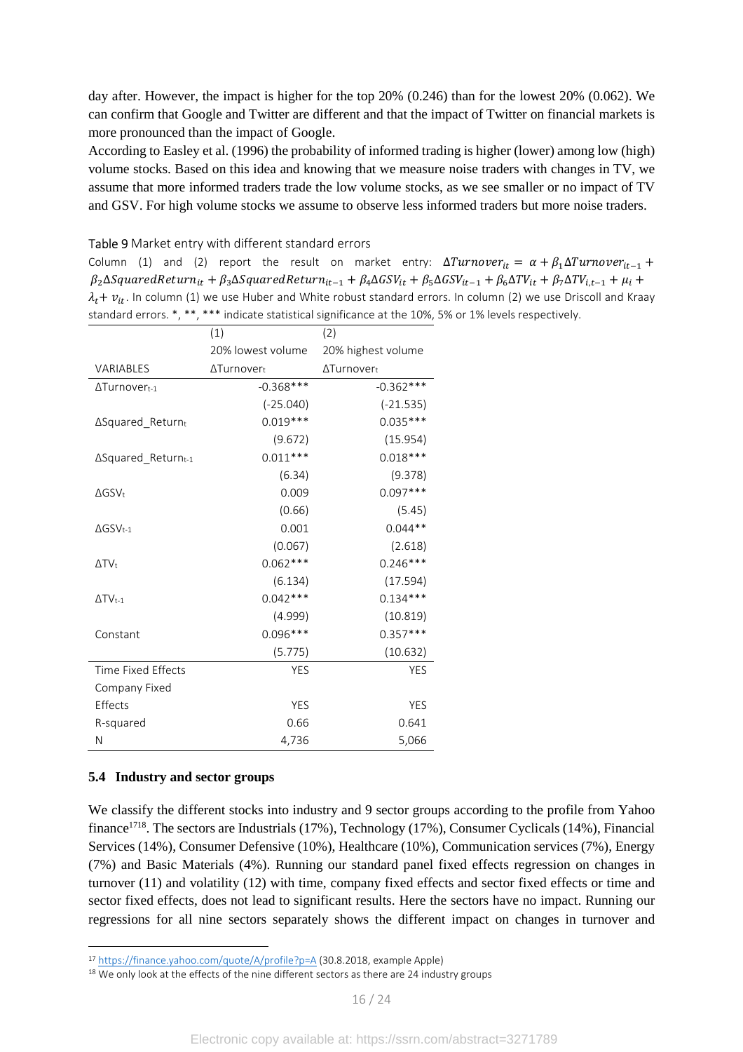day after. However, the impact is higher for the top 20% (0.246) than for the lowest 20% (0.062). We can confirm that Google and Twitter are different and that the impact of Twitter on financial markets is more pronounced than the impact of Google.

According to Easley et al. (1996) the probability of informed trading is higher (lower) among low (high) volume stocks. Based on this idea and knowing that we measure noise traders with changes in TV, we assume that more informed traders trade the low volume stocks, as we see smaller or no impact of TV and GSV. For high volume stocks we assume to observe less informed traders but more noise traders.

|                             | (1)               | (2)                    |
|-----------------------------|-------------------|------------------------|
|                             | 20% lowest volume | 20% highest volume     |
| VARIABLES                   | ∆Turnovert        | ΔTurnover <sub>t</sub> |
| $\Delta$ Turnovert-1        | $-0.368$ ***      | $-0.362***$            |
|                             | $(-25.040)$       | $(-21.535)$            |
| ∆Squared_Returnt            | $0.019***$        | $0.035***$             |
|                             | (9.672)           | (15.954)               |
| $\Delta$ Squared Returnt-1  | $0.011***$        | $0.018***$             |
|                             | (6.34)            | (9.378)                |
| $\Delta$ GSV <sub>t</sub>   | 0.009             | $0.097***$             |
|                             | (0.66)            | (5.45)                 |
| $\Delta$ GSV <sub>t-1</sub> | 0.001             | $0.044**$              |
|                             | (0.067)           | (2.618)                |
| $\Delta TV_t$               | $0.062***$        | $0.246***$             |
|                             | (6.134)           | (17.594)               |
| $\Delta TV_{t-1}$           | $0.042***$        | $0.134***$             |
|                             | (4.999)           | (10.819)               |
| Constant                    | $0.096***$        | $0.357***$             |
|                             | (5.775)           | (10.632)               |
| <b>Time Fixed Effects</b>   | <b>YES</b>        | <b>YES</b>             |
| Company Fixed               |                   |                        |
| Effects                     | <b>YES</b>        | YES                    |
| R-squared                   | 0.66              | 0.641                  |
| Ν                           | 4,736             | 5,066                  |

#### Table 9 Market entry with different standard errors

Column (1) and (2) report the result on market entry:  $\Delta Turnover_{it} = \alpha + \beta_1 \Delta Turnover_{it-1} +$  $\beta_2 \Delta Squared$ Return<sub>it</sub> +  $\beta_3 \Delta Squared$ Return<sub>it-1</sub> +  $\beta_4 \Delta GSV_{it} + \beta_5 \Delta GSV_{it-1} + \beta_6 \Delta TV_{it} + \beta_7 \Delta TV_{i,t-1} + \mu_i$  +  $\lambda_t$  +  $v_{it}$ . In column (1) we use Huber and White robust standard errors. In column (2) we use Driscoll and Kraay 5% or 1% levels respectively.

# **5.4 Industry and sector groups**

l

We classify the different stocks into industry and 9 sector groups according to the profile from Yahoo finance<sup>1718</sup>. The sectors are Industrials (17%), Technology (17%), Consumer Cyclicals (14%), Financial Services (14%), Consumer Defensive (10%), Healthcare (10%), Communication services (7%), Energy (7%) and Basic Materials (4%). Running our standard panel fixed effects regression on changes in turnover (11) and volatility (12) with time, company fixed effects and sector fixed effects or time and sector fixed effects, does not lead to significant results. Here the sectors have no impact. Running our regressions for all nine sectors separately shows the different impact on changes in turnover and

<sup>17</sup> https://finance.yahoo.com/quote/A/profile?p=A (30.8.2018, example Apple)

<sup>&</sup>lt;sup>18</sup> We only look at the effects of the nine different sectors as there are 24 industry groups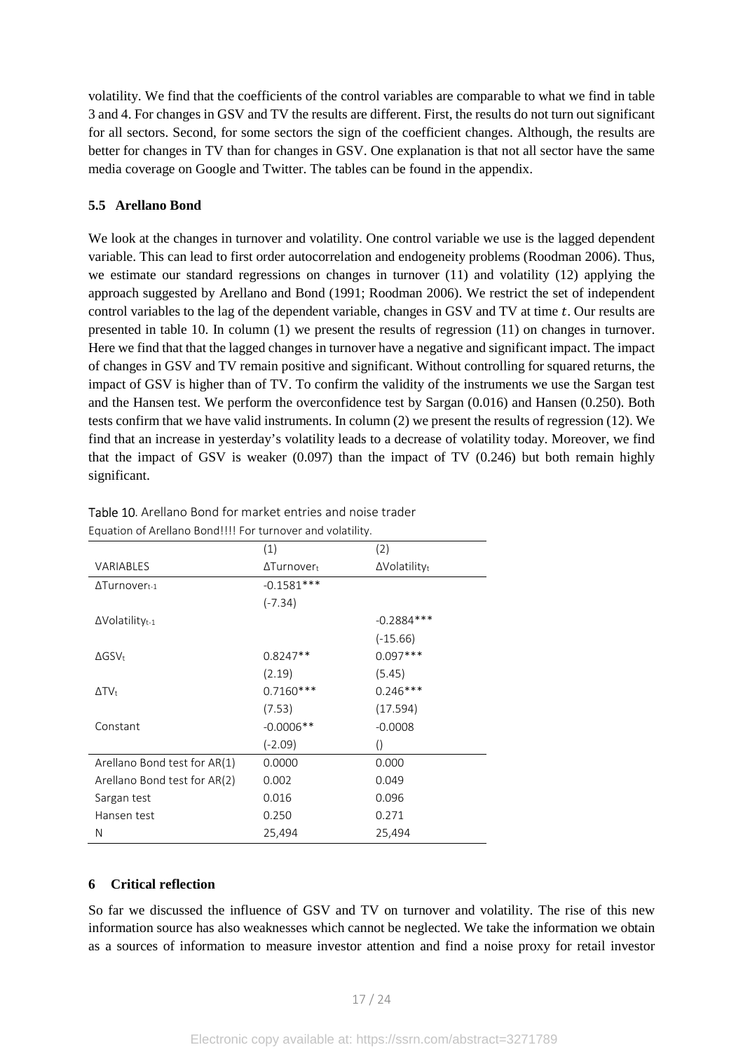volatility. We find that the coefficients of the control variables are comparable to what we find in table 3 and 4. For changes in GSV and TV the results are different. First, the results do not turn out significant for all sectors. Second, for some sectors the sign of the coefficient changes. Although, the results are better for changes in TV than for changes in GSV. One explanation is that not all sector have the same media coverage on Google and Twitter. The tables can be found in the appendix.

# **5.5 Arellano Bond**

We look at the changes in turnover and volatility. One control variable we use is the lagged dependent variable. This can lead to first order autocorrelation and endogeneity problems (Roodman 2006). Thus, we estimate our standard regressions on changes in turnover (11) and volatility (12) applying the approach suggested by Arellano and Bond (1991; Roodman 2006). We restrict the set of independent control variables to the lag of the dependent variable, changes in GSV and TV at time  $t$ . Our results are presented in table 10. In column (1) we present the results of regression (11) on changes in turnover. Here we find that that the lagged changes in turnover have a negative and significant impact. The impact of changes in GSV and TV remain positive and significant. Without controlling for squared returns, the impact of GSV is higher than of TV. To confirm the validity of the instruments we use the Sargan test and the Hansen test. We perform the overconfidence test by Sargan (0.016) and Hansen (0.250). Both tests confirm that we have valid instruments. In column (2) we present the results of regression (12). We find that an increase in yesterday's volatility leads to a decrease of volatility today. Moreover, we find that the impact of GSV is weaker  $(0.097)$  than the impact of TV  $(0.246)$  but both remain highly significant.

|                                    | (1)                            | (2)                              |
|------------------------------------|--------------------------------|----------------------------------|
| <b>VARIABLES</b>                   | $\Delta$ Turnover <sub>t</sub> | $\Delta$ Volatility <sub>t</sub> |
| ΔTurnover <sub>t-1</sub>           | $-0.1581***$                   |                                  |
|                                    | $(-7.34)$                      |                                  |
| $\Delta$ Volatility <sub>t-1</sub> |                                | $-0.2884***$                     |
|                                    |                                | $(-15.66)$                       |
| $\Delta$ GSV <sub>t</sub>          | $0.8247**$                     | $0.097***$                       |
|                                    | (2.19)                         | (5.45)                           |
| $\Delta T V_t$                     | $0.7160***$                    | $0.246***$                       |
|                                    | (7.53)                         | (17.594)                         |
| Constant                           | $-0.0006**$                    | $-0.0008$                        |
|                                    | $(-2.09)$                      | $\left( \right)$                 |
| Arellano Bond test for AR(1)       | 0.0000                         | 0.000                            |
| Arellano Bond test for AR(2)       | 0.002                          | 0.049                            |
| Sargan test                        | 0.016                          | 0.096                            |
| Hansen test                        | 0.250                          | 0.271                            |
| N                                  | 25,494                         | 25,494                           |

Table 10. Arellano Bond for market entries and noise trader Equation of Arellano Bond!!!! For turnover and volatility.

# **6 Critical reflection**

So far we discussed the influence of GSV and TV on turnover and volatility. The rise of this new information source has also weaknesses which cannot be neglected. We take the information we obtain as a sources of information to measure investor attention and find a noise proxy for retail investor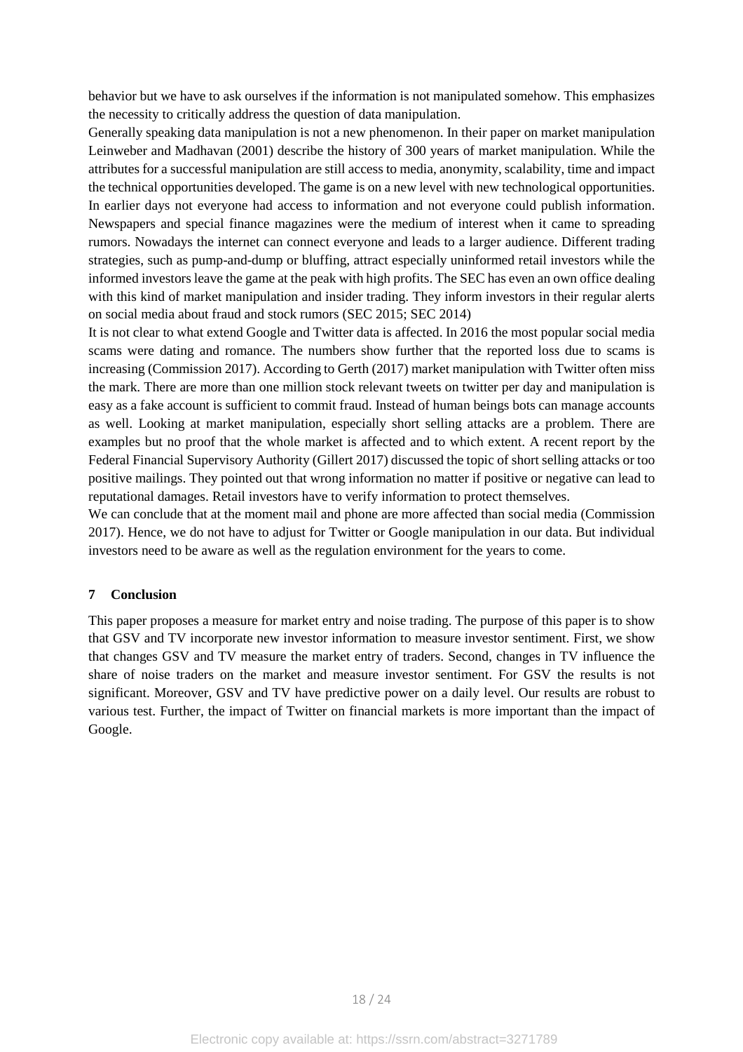behavior but we have to ask ourselves if the information is not manipulated somehow. This emphasizes the necessity to critically address the question of data manipulation.

Generally speaking data manipulation is not a new phenomenon. In their paper on market manipulation Leinweber and Madhavan (2001) describe the history of 300 years of market manipulation. While the attributes for a successful manipulation are still access to media, anonymity, scalability, time and impact the technical opportunities developed. The game is on a new level with new technological opportunities. In earlier days not everyone had access to information and not everyone could publish information. Newspapers and special finance magazines were the medium of interest when it came to spreading rumors. Nowadays the internet can connect everyone and leads to a larger audience. Different trading strategies, such as pump-and-dump or bluffing, attract especially uninformed retail investors while the informed investors leave the game at the peak with high profits. The SEC has even an own office dealing with this kind of market manipulation and insider trading. They inform investors in their regular alerts on social media about fraud and stock rumors (SEC 2015; SEC 2014)

It is not clear to what extend Google and Twitter data is affected. In 2016 the most popular social media scams were dating and romance. The numbers show further that the reported loss due to scams is increasing (Commission 2017). According to Gerth (2017) market manipulation with Twitter often miss the mark. There are more than one million stock relevant tweets on twitter per day and manipulation is easy as a fake account is sufficient to commit fraud. Instead of human beings bots can manage accounts as well. Looking at market manipulation, especially short selling attacks are a problem. There are examples but no proof that the whole market is affected and to which extent. A recent report by the Federal Financial Supervisory Authority (Gillert 2017) discussed the topic of short selling attacks or too positive mailings. They pointed out that wrong information no matter if positive or negative can lead to reputational damages. Retail investors have to verify information to protect themselves.

We can conclude that at the moment mail and phone are more affected than social media (Commission 2017). Hence, we do not have to adjust for Twitter or Google manipulation in our data. But individual investors need to be aware as well as the regulation environment for the years to come.

# **7 Conclusion**

This paper proposes a measure for market entry and noise trading. The purpose of this paper is to show that GSV and TV incorporate new investor information to measure investor sentiment. First, we show that changes GSV and TV measure the market entry of traders. Second, changes in TV influence the share of noise traders on the market and measure investor sentiment. For GSV the results is not significant. Moreover, GSV and TV have predictive power on a daily level. Our results are robust to various test. Further, the impact of Twitter on financial markets is more important than the impact of Google.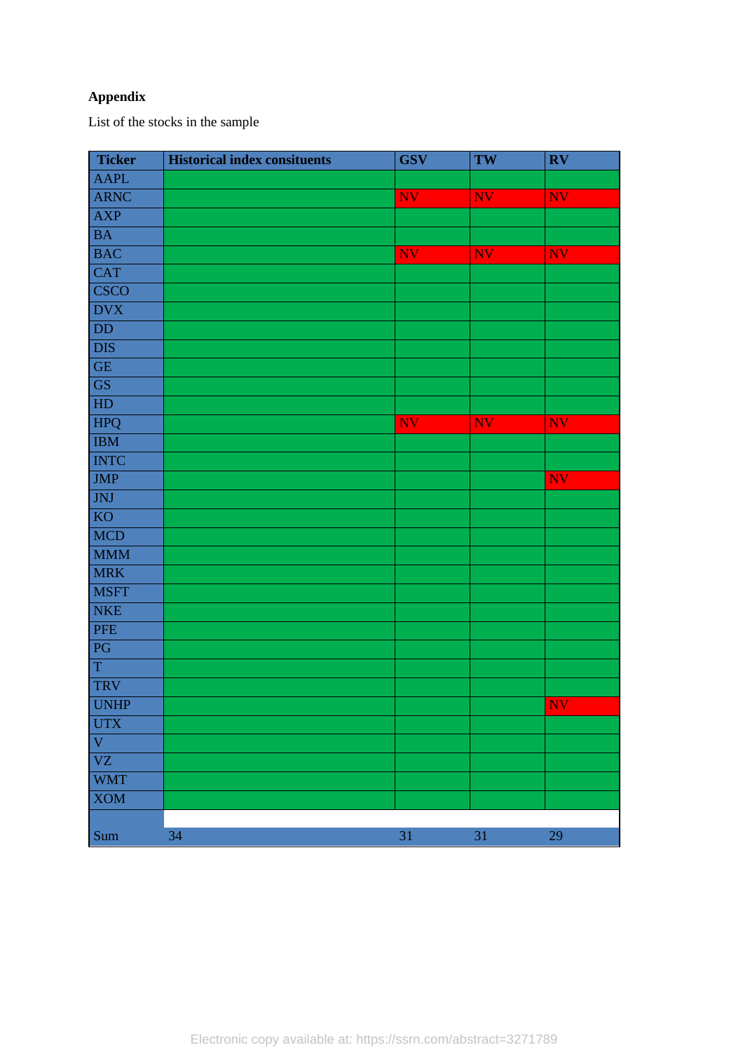# **Appendix**

List of the stocks in the sample

| <b>Ticker</b>          | <b>Historical index consituents</b> | <b>GSV</b> | TW        | $\mathbf{R}\mathbf{V}$ |
|------------------------|-------------------------------------|------------|-----------|------------------------|
| <b>AAPL</b>            |                                     |            |           |                        |
| <b>ARNC</b>            |                                     | NV         | <b>NV</b> | NV                     |
| <b>AXP</b>             |                                     |            |           |                        |
| <b>BA</b>              |                                     |            |           |                        |
| <b>BAC</b>             |                                     | NV         | <b>NV</b> | NV                     |
| <b>CAT</b>             |                                     |            |           |                        |
| <b>CSCO</b>            |                                     |            |           |                        |
| <b>DVX</b>             |                                     |            |           |                        |
| DD                     |                                     |            |           |                        |
| <b>DIS</b>             |                                     |            |           |                        |
| $\operatorname{GE}$    |                                     |            |           |                        |
| $\overline{\text{GS}}$ |                                     |            |           |                        |
| HD                     |                                     |            |           |                        |
| HPQ                    |                                     | <b>NV</b>  | <b>NV</b> | <b>NV</b>              |
| <b>IBM</b>             |                                     |            |           |                        |
| <b>INTC</b>            |                                     |            |           |                        |
| <b>JMP</b>             |                                     |            |           | <b>NV</b>              |
| JNJ                    |                                     |            |           |                        |
| KO                     |                                     |            |           |                        |
| <b>MCD</b>             |                                     |            |           |                        |
| <b>MMM</b>             |                                     |            |           |                        |
| <b>MRK</b>             |                                     |            |           |                        |
| <b>MSFT</b>            |                                     |            |           |                        |
| <b>NKE</b>             |                                     |            |           |                        |
| PFE                    |                                     |            |           |                        |
| PG                     |                                     |            |           |                        |
| $\mathbf T$            |                                     |            |           |                        |
| TRV                    |                                     |            |           |                        |
| <b>UNHP</b>            |                                     |            |           | NV                     |
| <b>UTX</b>             |                                     |            |           |                        |
| V                      |                                     |            |           |                        |
| VZ                     |                                     |            |           |                        |
| <b>WMT</b>             |                                     |            |           |                        |
| <b>XOM</b>             |                                     |            |           |                        |
|                        |                                     |            |           |                        |
| Sum                    | 34                                  | $31\,$     | $31\,$    | 29                     |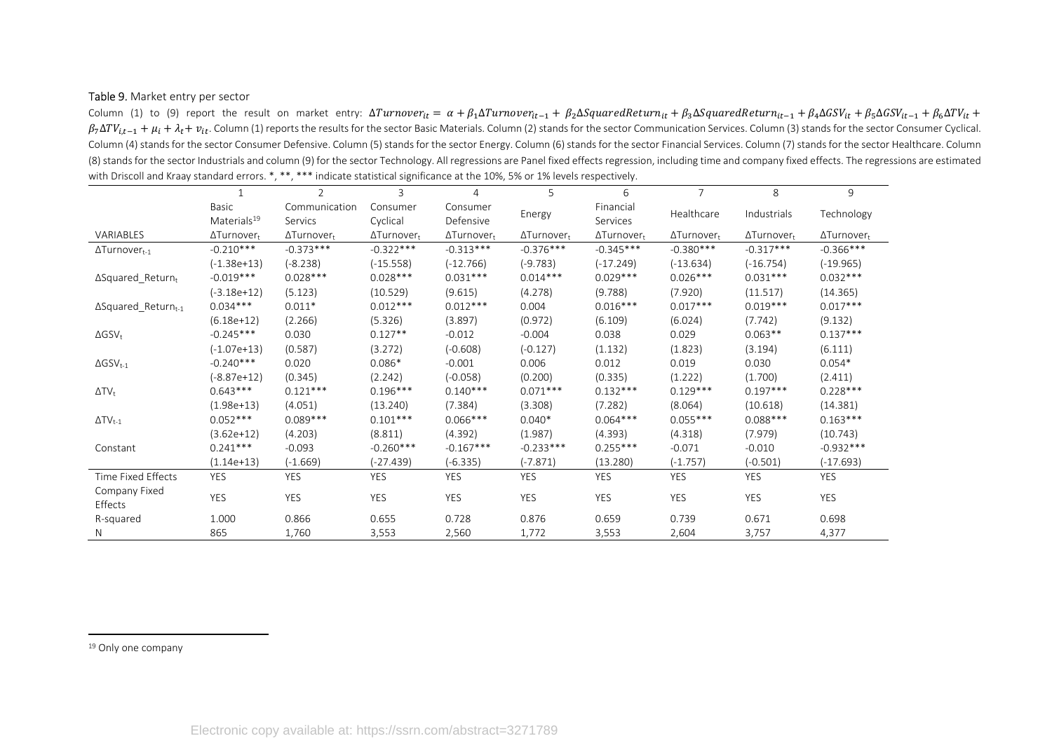#### Table 9. Market entry per sector

Column (1) to (9) report the result on market entry:  $\Delta Turnover_{it} = \alpha + \beta_1 \Delta Turnover_{it-1} + \beta_2 \Delta SquareR$ Retur $n_{it} + \beta_3 \Delta SquareR$ Retur $n_{it-1} + \beta_4 \Delta GSV_{it} + \beta_5 \Delta GSV_{it-1} + \beta_6 \Delta TV_{it} + \beta_7$  $\beta_7\Delta TV_{i,t-1} + \mu_i + \lambda_t + v_{it}$ . Column (1) reports the results for the sector Basic Materials. Column (2) stands for the services of column (3) stands for the sector Consumer Cyclical. Column (4) stands for the sector Consumer Defensive. Column (5) stands for the sector Energy. Column (6) stands for the sector Financial Services. Column (7) stands for the sector Healthcare. Column (8) stands for the sector Industrials and column (9) for the sector Technology. All regressions are Panel fixed effects regression, including time and company fixed effects. The regressions are estimated with Driscoll and Kraay standard errors. \*, \*\*, \*\*\* indicate statistical significance at the 10%, 5% or 1% levels respectively.

|                                        |                         | $\overline{2}$     | 3                  | $\overline{4}$     | 5                  | 6                  | $\overline{7}$     | 8                  | 9                  |
|----------------------------------------|-------------------------|--------------------|--------------------|--------------------|--------------------|--------------------|--------------------|--------------------|--------------------|
|                                        | Basic                   | Communication      | Consumer           | Consumer           |                    | Financial          | Healthcare         | Industrials        |                    |
|                                        | Materials <sup>19</sup> | Servics            | Cyclical           | Defensive          | Energy             | Services           |                    |                    | Technology         |
| VARIABLES                              | $\Delta$ Turnovert      | $\Delta$ Turnovert | $\Delta$ Turnovert | $\Delta$ Turnovert | $\Delta$ Turnovert | $\Delta$ Turnovert | $\Delta$ Turnovert | $\Delta$ Turnovert | $\Delta$ Turnovert |
| $\Delta$ Turnover <sub>t-1</sub>       | $-0.210***$             | $-0.373***$        | $-0.322***$        | $-0.313***$        | $-0.376***$        | $-0.345***$        | $-0.380***$        | $-0.317***$        | $-0.366***$        |
|                                        | $(-1.38e+13)$           | $(-8.238)$         | $(-15.558)$        | $(-12.766)$        | $(-9.783)$         | $(-17.249)$        | $(-13.634)$        | $(-16.754)$        | $(-19.965)$        |
| $\Delta$ Squared Returnt               | $-0.019***$             | $0.028***$         | $0.028***$         | $0.031***$         | $0.014***$         | $0.029***$         | $0.026***$         | $0.031***$         | $0.032***$         |
|                                        | $(-3.18e+12)$           | (5.123)            | (10.529)           | (9.615)            | (4.278)            | (9.788)            | (7.920)            | (11.517)           | (14.365)           |
| $\Delta$ Squared Return <sub>t-1</sub> | $0.034***$              | $0.011*$           | $0.012***$         | $0.012***$         | 0.004              | $0.016***$         | $0.017***$         | $0.019***$         | $0.017***$         |
|                                        | $(6.18e+12)$            | (2.266)            | (5.326)            | (3.897)            | (0.972)            | (6.109)            | (6.024)            | (7.742)            | (9.132)            |
| $\Delta$ GSV <sub>t</sub>              | $-0.245***$             | 0.030              | $0.127**$          | $-0.012$           | $-0.004$           | 0.038              | 0.029              | $0.063**$          | $0.137***$         |
|                                        | $(-1.07e+13)$           | (0.587)            | (3.272)            | $(-0.608)$         | $(-0.127)$         | (1.132)            | (1.823)            | (3.194)            | (6.111)            |
| $\Delta$ GSV <sub>t-1</sub>            | $-0.240***$             | 0.020              | $0.086*$           | $-0.001$           | 0.006              | 0.012              | 0.019              | 0.030              | $0.054*$           |
|                                        | $(-8.87e+12)$           | (0.345)            | (2.242)            | $(-0.058)$         | (0.200)            | (0.335)            | (1.222)            | (1.700)            | (2.411)            |
| $\Delta TV_t$                          | $0.643***$              | $0.121***$         | $0.196***$         | $0.140***$         | $0.071***$         | $0.132***$         | $0.129***$         | $0.197***$         | $0.228***$         |
|                                        | $(1.98e+13)$            | (4.051)            | (13.240)           | (7.384)            | (3.308)            | (7.282)            | (8.064)            | (10.618)           | (14.381)           |
| $\Delta TV_{t-1}$                      | $0.052***$              | $0.089***$         | $0.101***$         | $0.066***$         | $0.040*$           | $0.064***$         | $0.055***$         | $0.088***$         | $0.163***$         |
|                                        | $(3.62e+12)$            | (4.203)            | (8.811)            | (4.392)            | (1.987)            | (4.393)            | (4.318)            | (7.979)            | (10.743)           |
| Constant                               | $0.241***$              | $-0.093$           | $-0.260***$        | $-0.167***$        | $-0.233***$        | $0.255***$         | $-0.071$           | $-0.010$           | $-0.932***$        |
|                                        | $(1.14e+13)$            | $(-1.669)$         | (-27.439)          | $(-6.335)$         | $(-7.871)$         | (13.280)           | $(-1.757)$         | $(-0.501)$         | $(-17.693)$        |
| Time Fixed Effects                     | <b>YES</b>              | YES                | <b>YES</b>         | <b>YES</b>         | <b>YES</b>         | <b>YES</b>         | <b>YES</b>         | <b>YES</b>         | <b>YES</b>         |
| Company Fixed<br>Effects               | YES                     | <b>YES</b>         | <b>YES</b>         | <b>YES</b>         | YES                | <b>YES</b>         | <b>YES</b>         | <b>YES</b>         | YES                |
| R-squared                              | 1.000                   | 0.866              | 0.655              | 0.728              | 0.876              | 0.659              | 0.739              | 0.671              | 0.698              |
| N                                      | 865                     | 1,760              | 3,553              | 2,560              | 1,772              | 3,553              | 2,604              | 3,757              | 4,377              |

19 Only one company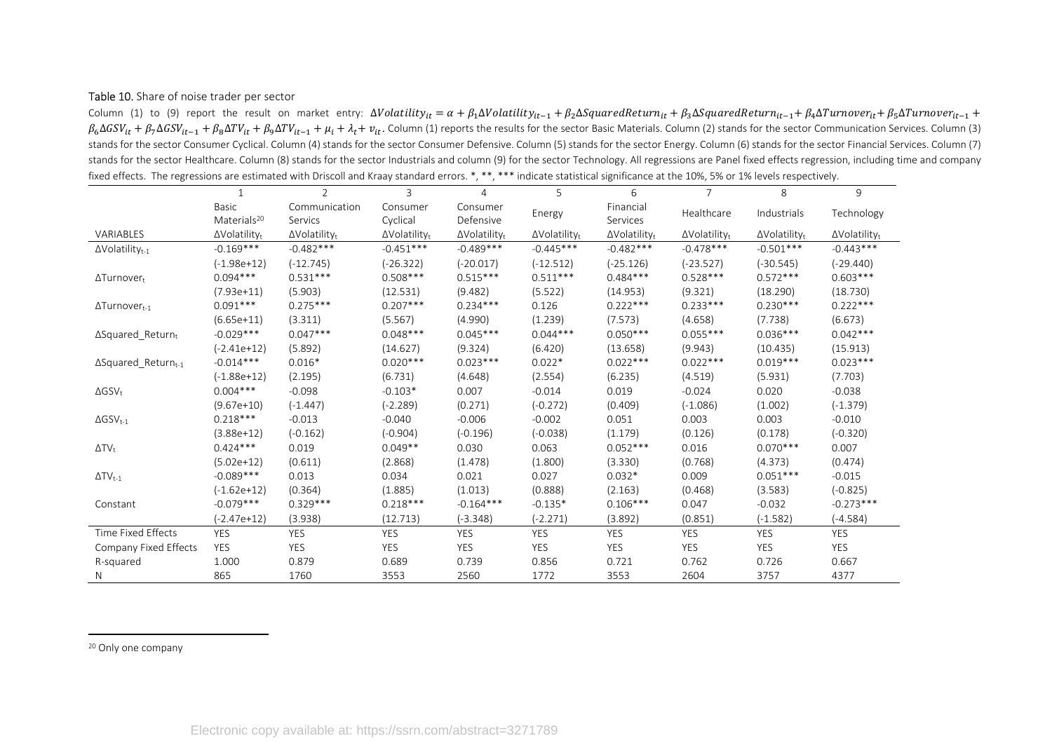#### Table 10. Share of noise trader per sector

Column (1) to (9) report the result on market entry:  $\Delta Volatility_{it} = \alpha + \beta_1 \Delta Volatility_{it-1} + \beta_2 \Delta SquaredReturn_{it} + \beta_3 \Delta SquaredReturn_{it-1} + \beta_4 \Delta Turnover_{it} + \beta_5 \Delta Turnover_{it-1} +$  $\beta_6\Delta GSV_{it} + \beta_7\Delta GSV_{it-1} + \beta_8\Delta TV_{it} + \beta_9\Delta TV_{it-1} + \mu_i + \lambda_t + v_{it}$ . Column (1) reports the results for the sector Basic Materials. Column (2) stands for the sector Communication Services. Column (3) stands for the sector Consumer Cyclical. Column (4) stands for the sector Consumer Defensive. Column (5) stands for the sector Energy. Column (6) stands for the sector Financial Services. Column (7) stands for the sector Healthcare. Column (8) stands for the sector Industrials and column (9) for the sector Technology. All regressions are Panel fixed effects regression, including time and company fixed effects. The regressions are estimated with Driscoll and Kraay standard errors. \*, \*\*, \*\*\* indicate statistical significance at the 10%, 5% or 1% levels respectively.

|                                    |                                  | $\overline{2}$                   | 3                                | $\overline{4}$                   | 5                                | 6            | $\overline{7}$                   | 8                                | 9                                |
|------------------------------------|----------------------------------|----------------------------------|----------------------------------|----------------------------------|----------------------------------|--------------|----------------------------------|----------------------------------|----------------------------------|
|                                    | Basic                            | Communication                    | Consumer                         | Consumer                         |                                  | Financial    | Healthcare                       | Industrials                      |                                  |
|                                    | Materials <sup>20</sup>          | Servics                          | Cyclical                         | Defensive                        | Energy                           | Services     |                                  |                                  | Technology                       |
| VARIABLES                          | $\Delta$ Volatility <sub>t</sub> | $\Delta$ Volatility <sub>t</sub> | $\Delta$ Volatility <sub>t</sub> | $\Delta$ Volatility <sub>t</sub> | $\Delta$ Volatility <sub>t</sub> | ∆Volatilityt | $\Delta$ Volatility <sub>t</sub> | $\Delta$ Volatility <sub>t</sub> | $\Delta$ Volatility <sub>t</sub> |
| $\Delta$ Volatility <sub>t-1</sub> | $-0.169***$                      | $-0.482***$                      | $-0.451***$                      | $-0.489***$                      | $-0.445***$                      | $-0.482***$  | $-0.478***$                      | $-0.501***$                      | $-0.443***$                      |
|                                    | $(-1.98e+12)$                    | $(-12.745)$                      | $(-26.322)$                      | $(-20.017)$                      | $(-12.512)$                      | $(-25.126)$  | $(-23.527)$                      | $(-30.545)$                      | $(-29.440)$                      |
| $\Delta$ Turnover <sub>t</sub>     | $0.094***$                       | $0.531***$                       | $0.508***$                       | $0.515***$                       | $0.511***$                       | $0.484***$   | $0.528***$                       | $0.572***$                       | $0.603***$                       |
|                                    | $(7.93e+11)$                     | (5.903)                          | (12.531)                         | (9.482)                          | (5.522)                          | (14.953)     | (9.321)                          | (18.290)                         | (18.730)                         |
| $\Delta$ Turnover <sub>t-1</sub>   | $0.091***$                       | $0.275***$                       | $0.207***$                       | $0.234***$                       | 0.126                            | $0.222***$   | $0.233***$                       | $0.230***$                       | $0.222***$                       |
|                                    | $(6.65e+11)$                     | (3.311)                          | (5.567)                          | (4.990)                          | (1.239)                          | (7.573)      | (4.658)                          | (7.738)                          | (6.673)                          |
| $\Delta$ Squared Returnt           | $-0.029***$                      | $0.047***$                       | $0.048***$                       | $0.045***$                       | $0.044***$                       | $0.050***$   | $0.055***$                       | $0.036***$                       | $0.042***$                       |
|                                    | $(-2.41e+12)$                    | (5.892)                          | (14.627)                         | (9.324)                          | (6.420)                          | (13.658)     | (9.943)                          | (10.435)                         | (15.913)                         |
| $\Delta$ Squared Returnt-1         | $-0.014***$                      | $0.016*$                         | $0.020***$                       | $0.023***$                       | $0.022*$                         | $0.022***$   | $0.022***$                       | $0.019***$                       | $0.023***$                       |
|                                    | $(-1.88e+12)$                    | (2.195)                          | (6.731)                          | (4.648)                          | (2.554)                          | (6.235)      | (4.519)                          | (5.931)                          | (7.703)                          |
| $\Delta$ GSV <sub>t</sub>          | $0.004***$                       | $-0.098$                         | $-0.103*$                        | 0.007                            | $-0.014$                         | 0.019        | $-0.024$                         | 0.020                            | $-0.038$                         |
|                                    | $(9.67e+10)$                     | $(-1.447)$                       | $(-2.289)$                       | (0.271)                          | $(-0.272)$                       | (0.409)      | $(-1.086)$                       | (1.002)                          | $(-1.379)$                       |
| $\Delta$ GSV <sub>t-1</sub>        | $0.218***$                       | $-0.013$                         | $-0.040$                         | $-0.006$                         | $-0.002$                         | 0.051        | 0.003                            | 0.003                            | $-0.010$                         |
|                                    | $(3.88e+12)$                     | $(-0.162)$                       | $(-0.904)$                       | $(-0.196)$                       | $(-0.038)$                       | (1.179)      | (0.126)                          | (0.178)                          | $(-0.320)$                       |
| $\Delta TV_t$                      | $0.424***$                       | 0.019                            | $0.049**$                        | 0.030                            | 0.063                            | $0.052***$   | 0.016                            | $0.070***$                       | 0.007                            |
|                                    | $(5.02e+12)$                     | (0.611)                          | (2.868)                          | (1.478)                          | (1.800)                          | (3.330)      | (0.768)                          | (4.373)                          | (0.474)                          |
| $\Delta TV_{t-1}$                  | $-0.089***$                      | 0.013                            | 0.034                            | 0.021                            | 0.027                            | $0.032*$     | 0.009                            | $0.051***$                       | $-0.015$                         |
|                                    | $(-1.62e+12)$                    | (0.364)                          | (1.885)                          | (1.013)                          | (0.888)                          | (2.163)      | (0.468)                          | (3.583)                          | $(-0.825)$                       |
| Constant                           | $-0.079***$                      | $0.329***$                       | $0.218***$                       | $-0.164***$                      | $-0.135*$                        | $0.106***$   | 0.047                            | $-0.032$                         | $-0.273***$                      |
|                                    | (-2.47e+12)                      | (3.938)                          | (12.713)                         | $(-3.348)$                       | $(-2.271)$                       | (3.892)      | (0.851)                          | $(-1.582)$                       | $(-4.584)$                       |
| Time Fixed Effects                 | <b>YES</b>                       | <b>YES</b>                       | <b>YES</b>                       | <b>YES</b>                       | <b>YES</b>                       | YES          | <b>YES</b>                       | <b>YES</b>                       | <b>YES</b>                       |
| Company Fixed Effects              | <b>YES</b>                       | <b>YES</b>                       | <b>YES</b>                       | <b>YES</b>                       | <b>YES</b>                       | <b>YES</b>   | <b>YES</b>                       | <b>YES</b>                       | <b>YES</b>                       |
| R-squared                          | 1.000                            | 0.879                            | 0.689                            | 0.739                            | 0.856                            | 0.721        | 0.762                            | 0.726                            | 0.667                            |
| N                                  | 865                              | 1760                             | 3553                             | 2560                             | 1772                             | 3553         | 2604                             | 3757                             | 4377                             |

20 Only one company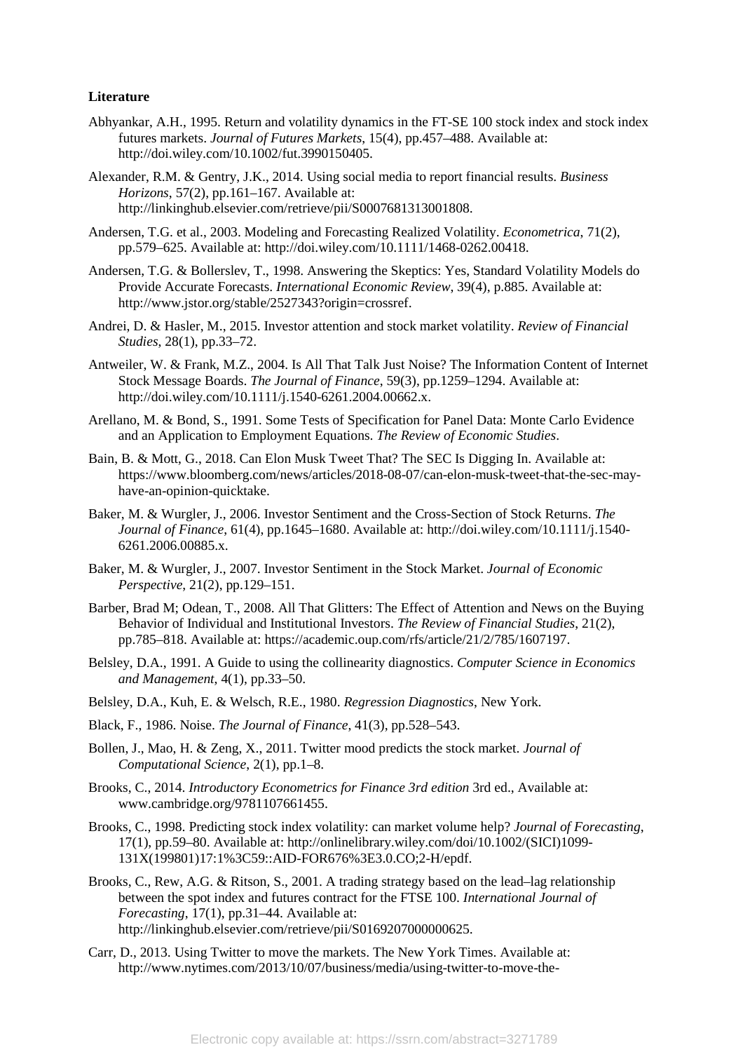#### **Literature**

- Abhyankar, A.H., 1995. Return and volatility dynamics in the FT-SE 100 stock index and stock index futures markets. *Journal of Futures Markets*, 15(4), pp.457–488. Available at: http://doi.wiley.com/10.1002/fut.3990150405.
- Alexander, R.M. & Gentry, J.K., 2014. Using social media to report financial results. *Business Horizons*, 57(2), pp.161–167. Available at: http://linkinghub.elsevier.com/retrieve/pii/S0007681313001808.
- Andersen, T.G. et al., 2003. Modeling and Forecasting Realized Volatility. *Econometrica*, 71(2), pp.579–625. Available at: http://doi.wiley.com/10.1111/1468-0262.00418.
- Andersen, T.G. & Bollerslev, T., 1998. Answering the Skeptics: Yes, Standard Volatility Models do Provide Accurate Forecasts. *International Economic Review*, 39(4), p.885. Available at: http://www.jstor.org/stable/2527343?origin=crossref.
- Andrei, D. & Hasler, M., 2015. Investor attention and stock market volatility. *Review of Financial Studies*, 28(1), pp.33–72.
- Antweiler, W. & Frank, M.Z., 2004. Is All That Talk Just Noise? The Information Content of Internet Stock Message Boards. *The Journal of Finance*, 59(3), pp.1259–1294. Available at: http://doi.wiley.com/10.1111/j.1540-6261.2004.00662.x.
- Arellano, M. & Bond, S., 1991. Some Tests of Specification for Panel Data: Monte Carlo Evidence and an Application to Employment Equations. *The Review of Economic Studies*.
- Bain, B. & Mott, G., 2018. Can Elon Musk Tweet That? The SEC Is Digging In. Available at: https://www.bloomberg.com/news/articles/2018-08-07/can-elon-musk-tweet-that-the-sec-mayhave-an-opinion-quicktake.
- Baker, M. & Wurgler, J., 2006. Investor Sentiment and the Cross-Section of Stock Returns. *The Journal of Finance*, 61(4), pp.1645–1680. Available at: http://doi.wiley.com/10.1111/j.1540- 6261.2006.00885.x.
- Baker, M. & Wurgler, J., 2007. Investor Sentiment in the Stock Market. *Journal of Economic Perspective*, 21(2), pp.129–151.
- Barber, Brad M; Odean, T., 2008. All That Glitters: The Effect of Attention and News on the Buying Behavior of Individual and Institutional Investors. *The Review of Financial Studies*, 21(2), pp.785–818. Available at: https://academic.oup.com/rfs/article/21/2/785/1607197.
- Belsley, D.A., 1991. A Guide to using the collinearity diagnostics. *Computer Science in Economics and Management*, 4(1), pp.33–50.
- Belsley, D.A., Kuh, E. & Welsch, R.E., 1980. *Regression Diagnostics*, New York.
- Black, F., 1986. Noise. *The Journal of Finance*, 41(3), pp.528–543.
- Bollen, J., Mao, H. & Zeng, X., 2011. Twitter mood predicts the stock market. *Journal of Computational Science*, 2(1), pp.1–8.
- Brooks, C., 2014. *Introductory Econometrics for Finance 3rd edition* 3rd ed., Available at: www.cambridge.org/9781107661455.
- Brooks, C., 1998. Predicting stock index volatility: can market volume help? *Journal of Forecasting*, 17(1), pp.59–80. Available at: http://onlinelibrary.wiley.com/doi/10.1002/(SICI)1099- 131X(199801)17:1%3C59::AID-FOR676%3E3.0.CO;2-H/epdf.
- Brooks, C., Rew, A.G. & Ritson, S., 2001. A trading strategy based on the lead–lag relationship between the spot index and futures contract for the FTSE 100. *International Journal of Forecasting*, 17(1), pp.31–44. Available at: http://linkinghub.elsevier.com/retrieve/pii/S0169207000000625.
- Carr, D., 2013. Using Twitter to move the markets. The New York Times. Available at: http://www.nytimes.com/2013/10/07/business/media/using-twitter-to-move-the-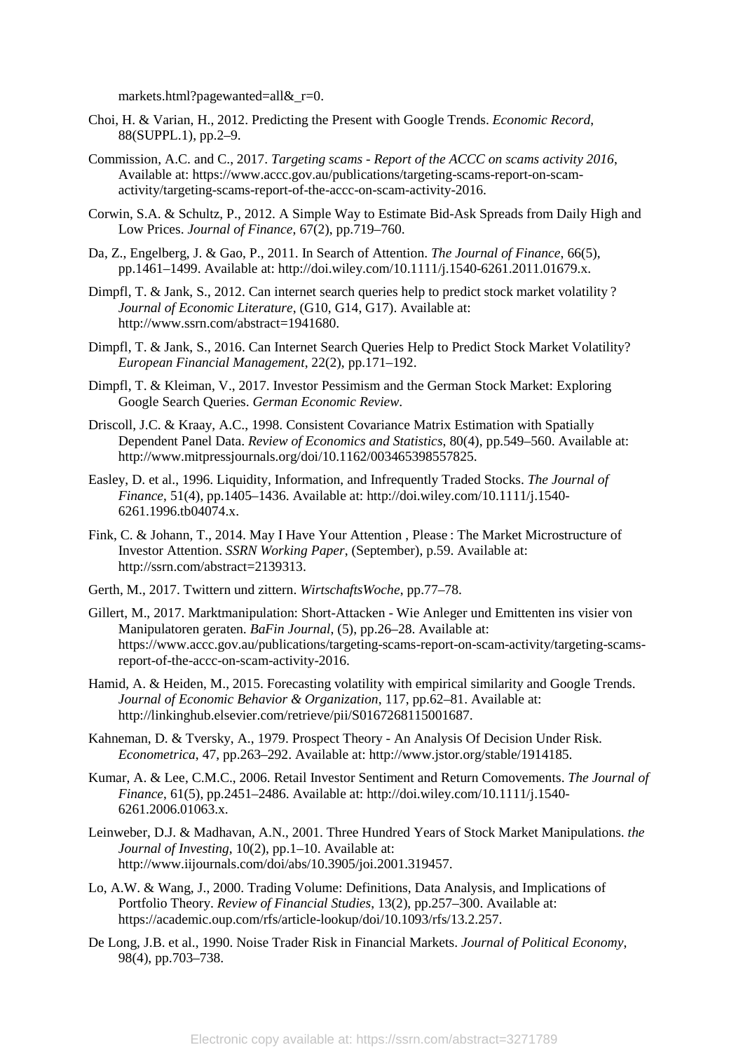markets.html?pagewanted=all&\_r=0.

- Choi, H. & Varian, H., 2012. Predicting the Present with Google Trends. *Economic Record*, 88(SUPPL.1), pp.2–9.
- Commission, A.C. and C., 2017. *Targeting scams Report of the ACCC on scams activity 2016*, Available at: https://www.accc.gov.au/publications/targeting-scams-report-on-scamactivity/targeting-scams-report-of-the-accc-on-scam-activity-2016.
- Corwin, S.A. & Schultz, P., 2012. A Simple Way to Estimate Bid-Ask Spreads from Daily High and Low Prices. *Journal of Finance*, 67(2), pp.719–760.
- Da, Z., Engelberg, J. & Gao, P., 2011. In Search of Attention. *The Journal of Finance*, 66(5), pp.1461–1499. Available at: http://doi.wiley.com/10.1111/j.1540-6261.2011.01679.x.
- Dimpfl, T. & Jank, S., 2012. Can internet search queries help to predict stock market volatility ? *Journal of Economic Literature*, (G10, G14, G17). Available at: http://www.ssrn.com/abstract=1941680.
- Dimpfl, T. & Jank, S., 2016. Can Internet Search Queries Help to Predict Stock Market Volatility? *European Financial Management*, 22(2), pp.171–192.
- Dimpfl, T. & Kleiman, V., 2017. Investor Pessimism and the German Stock Market: Exploring Google Search Queries. *German Economic Review*.
- Driscoll, J.C. & Kraay, A.C., 1998. Consistent Covariance Matrix Estimation with Spatially Dependent Panel Data. *Review of Economics and Statistics*, 80(4), pp.549–560. Available at: http://www.mitpressjournals.org/doi/10.1162/003465398557825.
- Easley, D. et al., 1996. Liquidity, Information, and Infrequently Traded Stocks. *The Journal of Finance*, 51(4), pp.1405–1436. Available at: http://doi.wiley.com/10.1111/j.1540- 6261.1996.tb04074.x.
- Fink, C. & Johann, T., 2014. May I Have Your Attention , Please : The Market Microstructure of Investor Attention. *SSRN Working Paper*, (September), p.59. Available at: http://ssrn.com/abstract=2139313.
- Gerth, M., 2017. Twittern und zittern. *WirtschaftsWoche*, pp.77–78.
- Gillert, M., 2017. Marktmanipulation: Short-Attacken Wie Anleger und Emittenten ins visier von Manipulatoren geraten. *BaFin Journal*, (5), pp.26–28. Available at: https://www.accc.gov.au/publications/targeting-scams-report-on-scam-activity/targeting-scamsreport-of-the-accc-on-scam-activity-2016.
- Hamid, A. & Heiden, M., 2015. Forecasting volatility with empirical similarity and Google Trends. *Journal of Economic Behavior & Organization*, 117, pp.62–81. Available at: http://linkinghub.elsevier.com/retrieve/pii/S0167268115001687.
- Kahneman, D. & Tversky, A., 1979. Prospect Theory An Analysis Of Decision Under Risk. *Econometrica*, 47, pp.263–292. Available at: http://www.jstor.org/stable/1914185.
- Kumar, A. & Lee, C.M.C., 2006. Retail Investor Sentiment and Return Comovements. *The Journal of Finance*, 61(5), pp.2451–2486. Available at: http://doi.wiley.com/10.1111/j.1540- 6261.2006.01063.x.
- Leinweber, D.J. & Madhavan, A.N., 2001. Three Hundred Years of Stock Market Manipulations. *the Journal of Investing*, 10(2), pp.1–10. Available at: http://www.iijournals.com/doi/abs/10.3905/joi.2001.319457.
- Lo, A.W. & Wang, J., 2000. Trading Volume: Definitions, Data Analysis, and Implications of Portfolio Theory. *Review of Financial Studies*, 13(2), pp.257–300. Available at: https://academic.oup.com/rfs/article-lookup/doi/10.1093/rfs/13.2.257.
- De Long, J.B. et al., 1990. Noise Trader Risk in Financial Markets. *Journal of Political Economy*, 98(4), pp.703–738.